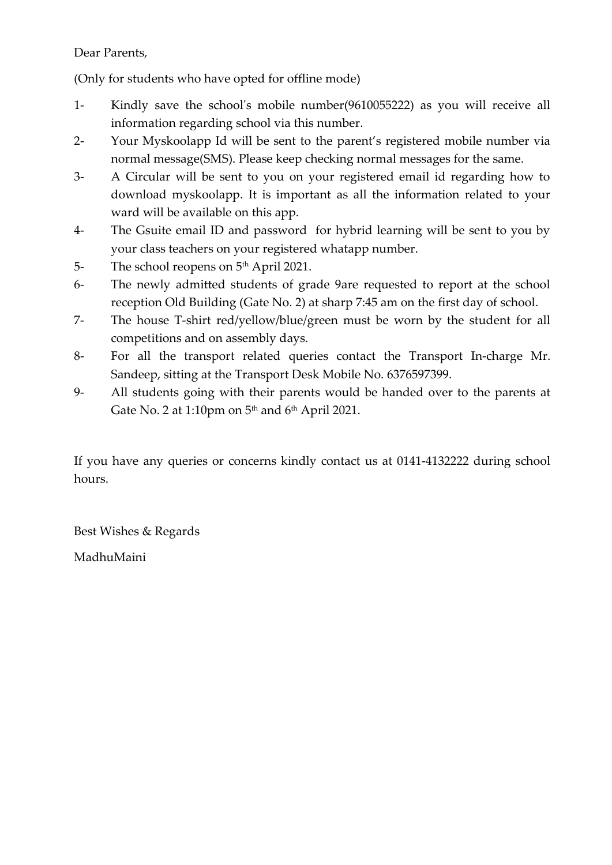# Dear Parents,

(Only for students who have opted for offline mode)

- 1- Kindly save the school's mobile number(9610055222) as you will receive all information regarding school via this number.
- 2- Your Myskoolapp Id will be sent to the parent's registered mobile number via normal message(SMS). Please keep checking normal messages for the same.
- 3- A Circular will be sent to you on your registered email id regarding how to download myskoolapp. It is important as all the information related to your ward will be available on this app.
- 4- The Gsuite email ID and password for hybrid learning will be sent to you by your class teachers on your registered whatapp number.
- 5- The school reopens on 5<sup>th</sup> April 2021.
- 6- The newly admitted students of grade 9are requested to report at the school reception Old Building (Gate No. 2) at sharp 7:45 am on the first day of school.
- 7- The house T-shirt red/yellow/blue/green must be worn by the student for all competitions and on assembly days.
- 8- For all the transport related queries contact the Transport In-charge Mr. Sandeep, sitting at the Transport Desk Mobile No. 6376597399.
- 9- All students going with their parents would be handed over to the parents at Gate No. 2 at 1:10pm on  $5<sup>th</sup>$  and  $6<sup>th</sup>$  April 2021.

If you have any queries or concerns kindly contact us at 0141-4132222 during school hours.

Best Wishes & Regards

MadhuMaini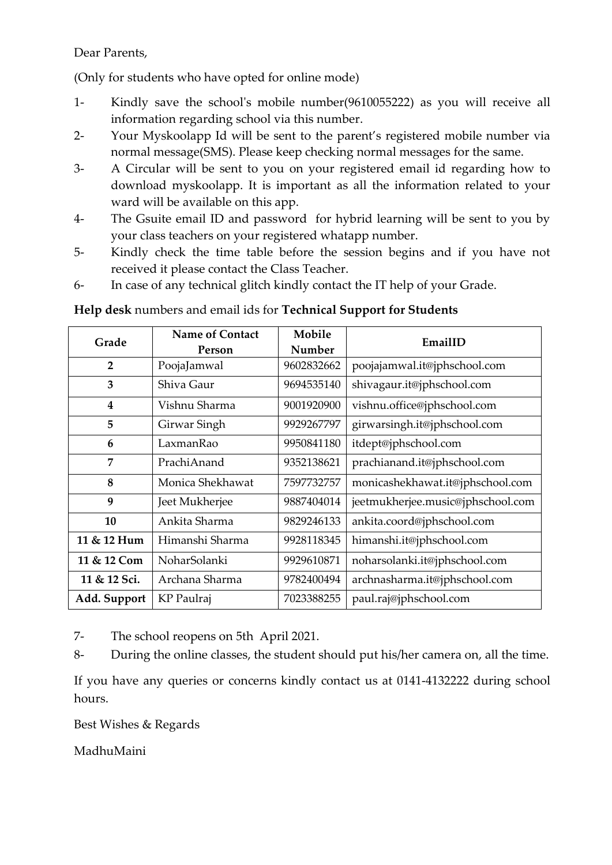# Dear Parents,

(Only for students who have opted for online mode)

- 1- Kindly save the school's mobile number(9610055222) as you will receive all information regarding school via this number.
- 2- Your Myskoolapp Id will be sent to the parent's registered mobile number via normal message(SMS). Please keep checking normal messages for the same.
- 3- A Circular will be sent to you on your registered email id regarding how to download myskoolapp. It is important as all the information related to your ward will be available on this app.
- 4- The Gsuite email ID and password for hybrid learning will be sent to you by your class teachers on your registered whatapp number.
- 5- Kindly check the time table before the session begins and if you have not received it please contact the Class Teacher.
- 6- In case of any technical glitch kindly contact the IT help of your Grade.

# **Help desk** numbers and email ids for **Technical Support for Students**

| Grade          | <b>Name of Contact</b> | Mobile     | EmailID                           |
|----------------|------------------------|------------|-----------------------------------|
|                | Person                 | Number     |                                   |
| $\overline{2}$ | PoojaJamwal            | 9602832662 | poojajamwal.it@jphschool.com      |
| 3              | Shiva Gaur             | 9694535140 | shivagaur.it@jphschool.com        |
| 4              | Vishnu Sharma          | 9001920900 | vishnu.office@jphschool.com       |
| 5              | Girwar Singh           | 9929267797 | girwarsingh.it@jphschool.com      |
| 6              | LaxmanRao              | 9950841180 | itdept@jphschool.com              |
| 7              | PrachiAnand            | 9352138621 | prachianand.it@jphschool.com      |
| 8              | Monica Shekhawat       | 7597732757 | monicashekhawat.it@jphschool.com  |
| 9              | Jeet Mukherjee         | 9887404014 | jeetmukherjee.music@jphschool.com |
| 10             | Ankita Sharma          | 9829246133 | ankita.coord@jphschool.com        |
| 11 & 12 Hum    | Himanshi Sharma        | 9928118345 | himanshi.it@jphschool.com         |
| 11 & 12 Com    | NoharSolanki           | 9929610871 | noharsolanki.it@jphschool.com     |
| 11 & 12 Sci.   | Archana Sharma         | 9782400494 | archnasharma.it@jphschool.com     |
| Add. Support   | KP Paulraj             | 7023388255 | paul.raj@jphschool.com            |

7- The school reopens on 5th April 2021.

8- During the online classes, the student should put his/her camera on, all the time.

If you have any queries or concerns kindly contact us at 0141-4132222 during school hours.

Best Wishes & Regards

MadhuMaini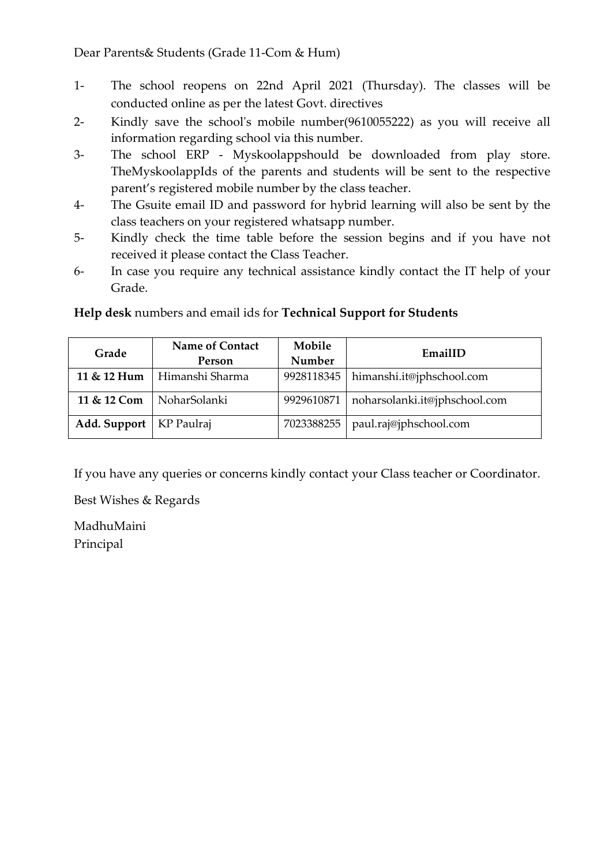Dear Parents& Students (Grade 11-Com & Hum)

- 1- The school reopens on 22nd April 2021 (Thursday). The classes will be conducted online as per the latest Govt. directives
- 2- Kindly save the school's mobile number(9610055222) as you will receive all information regarding school via this number.
- 3- The school ERP Myskoolappshould be downloaded from play store. TheMyskoolappIds of the parents and students will be sent to the respective parent's registered mobile number by the class teacher.
- 4- The Gsuite email ID and password for hybrid learning will also be sent by the class teachers on your registered whatsapp number.
- 5- Kindly check the time table before the session begins and if you have not received it please contact the Class Teacher.
- 6- In case you require any technical assistance kindly contact the IT help of your Grade.

| Grade                     | <b>Name of Contact</b><br>Person | Mobile<br>Number | EmailID                       |
|---------------------------|----------------------------------|------------------|-------------------------------|
| 11 & 12 Hum               | Himanshi Sharma                  | 9928118345       | himanshi.it@jphschool.com     |
| 11 & 12 Com               | NoharSolanki                     | 9929610871       | noharsolanki.it@jphschool.com |
| Add. Support   KP Paulraj |                                  | 7023388255       | paul.raj@jphschool.com        |

**Help desk** numbers and email ids for **Technical Support for Students** 

If you have any queries or concerns kindly contact your Class teacher or Coordinator.

Best Wishes & Regards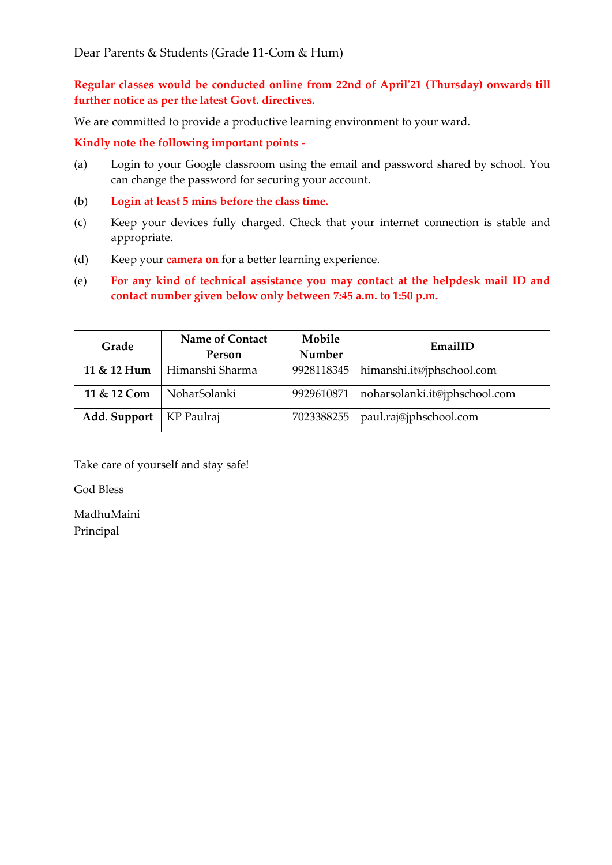**Regular classes would be conducted online from 22nd of April'21 (Thursday) onwards till further notice as per the latest Govt. directives.**

We are committed to provide a productive learning environment to your ward.

**Kindly note the following important points -**

- (a) Login to your Google classroom using the email and password shared by school. You can change the password for securing your account.
- (b) **Login at least 5 mins before the class time.**
- (c) Keep your devices fully charged. Check that your internet connection is stable and appropriate.
- (d) Keep your **camera on** for a better learning experience.
- (e) **For any kind of technical assistance you may contact at the helpdesk mail ID and contact number given below only between 7:45 a.m. to 1:50 p.m.**

| Grade        | <b>Name of Contact</b> | Mobile     | EmailID                       |
|--------------|------------------------|------------|-------------------------------|
|              | Person                 | Number     |                               |
| 11 & 12 Hum  | Himanshi Sharma        | 9928118345 | himanshi.it@jphschool.com     |
| 11 & 12 Com  | NoharSolanki           | 9929610871 | noharsolanki.it@jphschool.com |
| Add. Support | KP Paulraj             | 7023388255 | paul.raj@jphschool.com        |

Take care of yourself and stay safe!

God Bless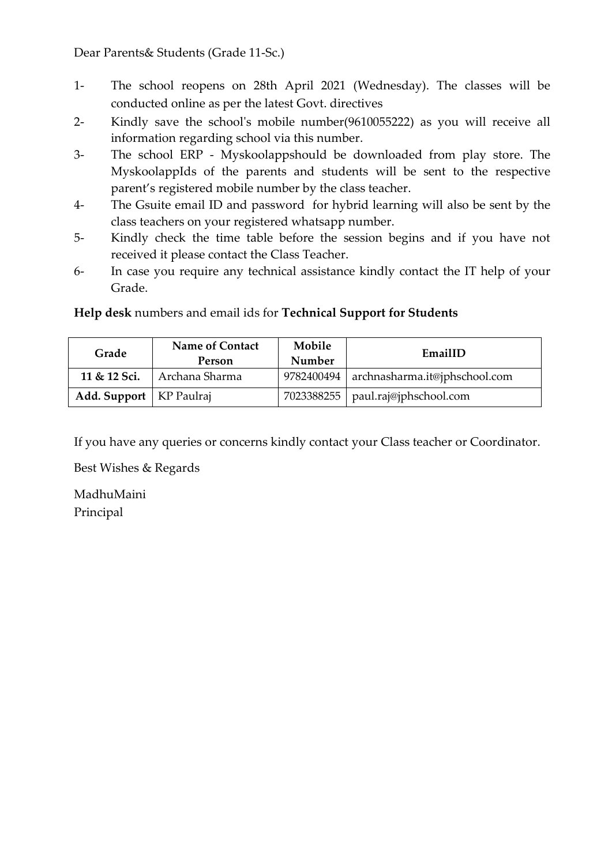Dear Parents& Students (Grade 11-Sc.)

- 1- The school reopens on 28th April 2021 (Wednesday). The classes will be conducted online as per the latest Govt. directives
- 2- Kindly save the school's mobile number(9610055222) as you will receive all information regarding school via this number.
- 3- The school ERP Myskoolappshould be downloaded from play store. The MyskoolappIds of the parents and students will be sent to the respective parent's registered mobile number by the class teacher.
- 4- The Gsuite email ID and password for hybrid learning will also be sent by the class teachers on your registered whatsapp number.
- 5- Kindly check the time table before the session begins and if you have not received it please contact the Class Teacher.
- 6- In case you require any technical assistance kindly contact the IT help of your Grade.

# **Help desk** numbers and email ids for **Technical Support for Students**

| Grade                            | <b>Name of Contact</b><br>Person | Mobile<br>Number | EmailID                             |
|----------------------------------|----------------------------------|------------------|-------------------------------------|
| 11 & 12 Sci.                     | Archana Sharma                   | 9782400494       | archnasharma.it@jphschool.com       |
| <b>Add. Support</b>   KP Paulraj |                                  |                  | 7023388255   paul.raj@jphschool.com |

If you have any queries or concerns kindly contact your Class teacher or Coordinator.

Best Wishes & Regards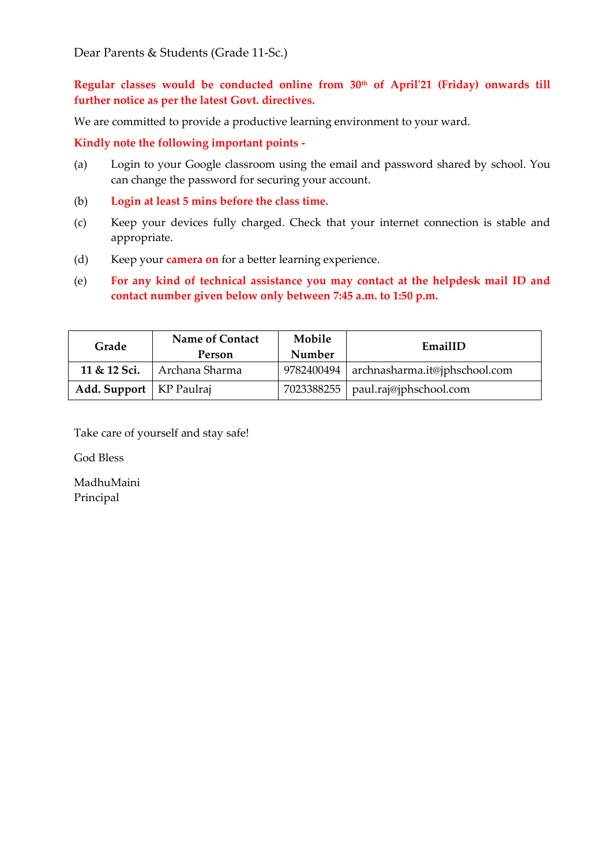Dear Parents & Students (Grade 11-Sc.)

**Regular classes would be conducted online from 30th of April'21 (Friday) onwards till further notice as per the latest Govt. directives.**

We are committed to provide a productive learning environment to your ward.

**Kindly note the following important points -**

- (a) Login to your Google classroom using the email and password shared by school. You can change the password for securing your account.
- (b) **Login at least 5 mins before the class time.**
- (c) Keep your devices fully charged. Check that your internet connection is stable and appropriate.
- (d) Keep your **camera on** for a better learning experience.
- (e) **For any kind of technical assistance you may contact at the helpdesk mail ID and contact number given below only between 7:45 a.m. to 1:50 p.m.**

| Grade                     | <b>Name of Contact</b><br>Person | Mobile<br>Number | EmailID                                    |
|---------------------------|----------------------------------|------------------|--------------------------------------------|
|                           | 11 & 12 Sci.   Archana Sharma    |                  | 9782400494   archnasharma.it@jphschool.com |
| Add. Support   KP Paulraj |                                  |                  | 7023388255   paul.raj@jphschool.com        |

Take care of yourself and stay safe!

God Bless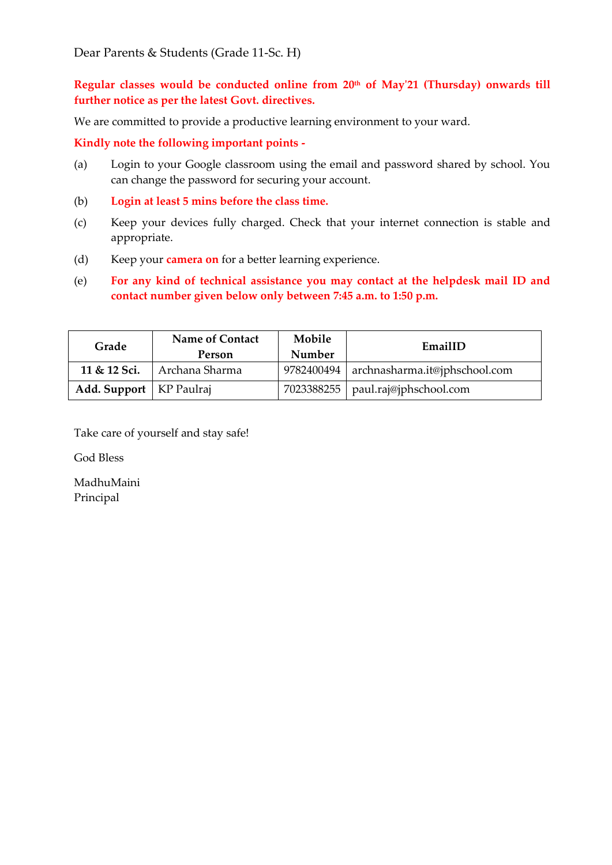**Regular classes would be conducted online from 20th of May'21 (Thursday) onwards till further notice as per the latest Govt. directives.**

We are committed to provide a productive learning environment to your ward.

**Kindly note the following important points -**

- (a) Login to your Google classroom using the email and password shared by school. You can change the password for securing your account.
- (b) **Login at least 5 mins before the class time.**
- (c) Keep your devices fully charged. Check that your internet connection is stable and appropriate.
- (d) Keep your **camera on** for a better learning experience.
- (e) **For any kind of technical assistance you may contact at the helpdesk mail ID and contact number given below only between 7:45 a.m. to 1:50 p.m.**

| Grade                     | <b>Name of Contact</b><br>Person | Mobile<br>Number | EmailID                                    |
|---------------------------|----------------------------------|------------------|--------------------------------------------|
| 11 & 12 Sci.              | Archana Sharma                   |                  | 9782400494   archnasharma.it@jphschool.com |
| Add. Support   KP Paulraj |                                  |                  | 7023388255   paul.raj@jphschool.com        |

Take care of yourself and stay safe!

God Bless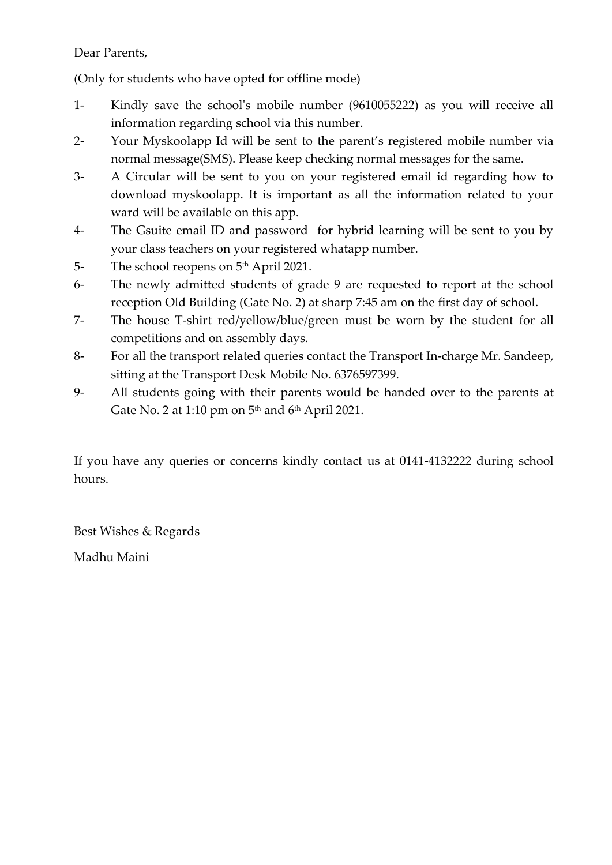# Dear Parents,

(Only for students who have opted for offline mode)

- 1- Kindly save the school's mobile number (9610055222) as you will receive all information regarding school via this number.
- 2- Your Myskoolapp Id will be sent to the parent's registered mobile number via normal message(SMS). Please keep checking normal messages for the same.
- 3- A Circular will be sent to you on your registered email id regarding how to download myskoolapp. It is important as all the information related to your ward will be available on this app.
- 4- The Gsuite email ID and password for hybrid learning will be sent to you by your class teachers on your registered whatapp number.
- 5- The school reopens on 5<sup>th</sup> April 2021.
- 6- The newly admitted students of grade 9 are requested to report at the school reception Old Building (Gate No. 2) at sharp 7:45 am on the first day of school.
- 7- The house T-shirt red/yellow/blue/green must be worn by the student for all competitions and on assembly days.
- 8- For all the transport related queries contact the Transport In-charge Mr. Sandeep, sitting at the Transport Desk Mobile No. 6376597399.
- 9- All students going with their parents would be handed over to the parents at Gate No. 2 at 1:10 pm on  $5<sup>th</sup>$  and  $6<sup>th</sup>$  April 2021.

If you have any queries or concerns kindly contact us at 0141-4132222 during school hours.

Best Wishes & Regards

Madhu Maini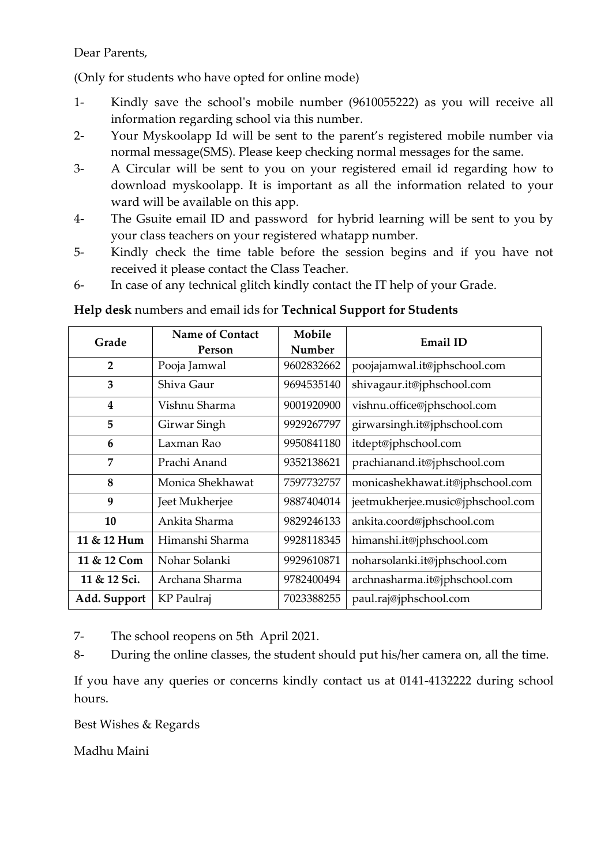# Dear Parents,

(Only for students who have opted for online mode)

- 1- Kindly save the school's mobile number (9610055222) as you will receive all information regarding school via this number.
- 2- Your Myskoolapp Id will be sent to the parent's registered mobile number via normal message(SMS). Please keep checking normal messages for the same.
- 3- A Circular will be sent to you on your registered email id regarding how to download myskoolapp. It is important as all the information related to your ward will be available on this app.
- 4- The Gsuite email ID and password for hybrid learning will be sent to you by your class teachers on your registered whatapp number.
- 5- Kindly check the time table before the session begins and if you have not received it please contact the Class Teacher.
- 6- In case of any technical glitch kindly contact the IT help of your Grade.

# **Help desk** numbers and email ids for **Technical Support for Students**

| Grade          | <b>Name of Contact</b><br>Person | Mobile<br>Number | <b>Email ID</b>                   |
|----------------|----------------------------------|------------------|-----------------------------------|
| $\overline{2}$ | Pooja Jamwal                     | 9602832662       | poojajamwal.it@jphschool.com      |
| 3              | Shiva Gaur                       | 9694535140       | shivagaur.it@jphschool.com        |
| 4              | Vishnu Sharma                    | 9001920900       | vishnu.office@jphschool.com       |
| 5              | Girwar Singh                     | 9929267797       | girwarsingh.it@jphschool.com      |
| 6              | Laxman Rao                       | 9950841180       | itdept@jphschool.com              |
| 7              | Prachi Anand                     | 9352138621       | prachianand.it@jphschool.com      |
| 8              | Monica Shekhawat                 | 7597732757       | monicashekhawat.it@jphschool.com  |
| 9              | Jeet Mukherjee                   | 9887404014       | jeetmukherjee.music@jphschool.com |
| 10             | Ankita Sharma                    | 9829246133       | ankita.coord@jphschool.com        |
| 11 & 12 Hum    | Himanshi Sharma                  | 9928118345       | himanshi.it@jphschool.com         |
| 11 & 12 Com    | Nohar Solanki                    | 9929610871       | noharsolanki.it@jphschool.com     |
| 11 & 12 Sci.   | Archana Sharma                   | 9782400494       | archnasharma.it@jphschool.com     |
| Add. Support   | KP Paulraj                       | 7023388255       | paul.raj@jphschool.com            |

7- The school reopens on 5th April 2021.

8- During the online classes, the student should put his/her camera on, all the time.

If you have any queries or concerns kindly contact us at 0141-4132222 during school hours.

Best Wishes & Regards

Madhu Maini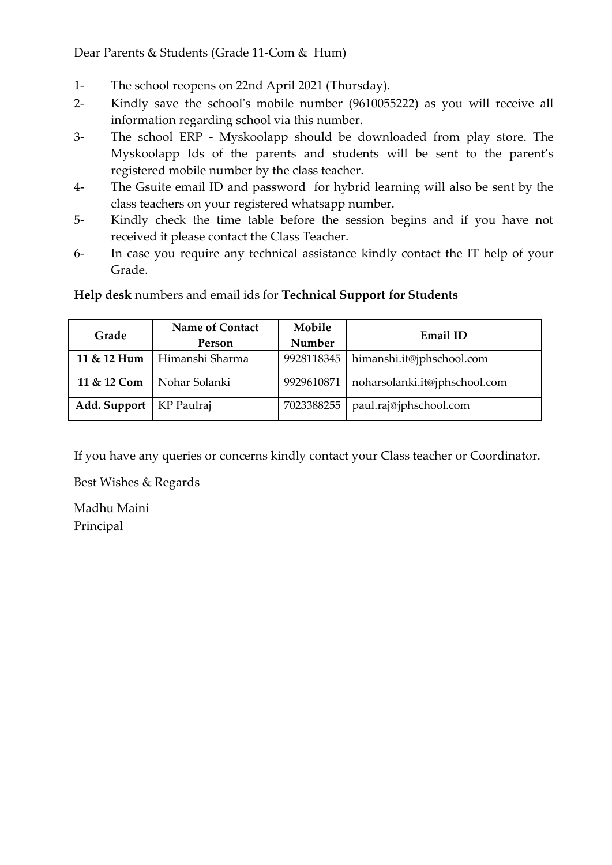Dear Parents & Students (Grade 11-Com & Hum)

- 1- The school reopens on 22nd April 2021 (Thursday).
- 2- Kindly save the school's mobile number (9610055222) as you will receive all information regarding school via this number.
- 3- The school ERP Myskoolapp should be downloaded from play store. The Myskoolapp Ids of the parents and students will be sent to the parent's registered mobile number by the class teacher.
- 4- The Gsuite email ID and password for hybrid learning will also be sent by the class teachers on your registered whatsapp number.
- 5- Kindly check the time table before the session begins and if you have not received it please contact the Class Teacher.
- 6- In case you require any technical assistance kindly contact the IT help of your Grade.

| Grade        | <b>Name of Contact</b><br>Person | Mobile<br>Number | <b>Email ID</b>               |
|--------------|----------------------------------|------------------|-------------------------------|
| 11 & 12 Hum  | Himanshi Sharma                  | 9928118345       | himanshi.it@jphschool.com     |
| 11 & 12 Com  | Nohar Solanki                    | 9929610871       | noharsolanki.it@jphschool.com |
| Add. Support | KP Paulraj                       | 7023388255       | paul.raj@jphschool.com        |

**Help desk** numbers and email ids for **Technical Support for Students** 

If you have any queries or concerns kindly contact your Class teacher or Coordinator.

Best Wishes & Regards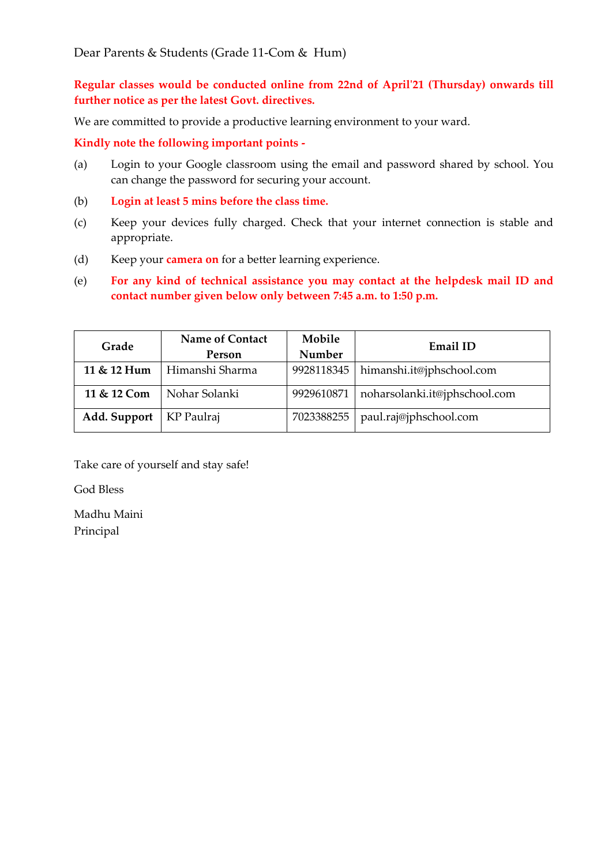## **Regular classes would be conducted online from 22nd of April'21 (Thursday) onwards till further notice as per the latest Govt. directives.**

We are committed to provide a productive learning environment to your ward.

**Kindly note the following important points -**

- (a) Login to your Google classroom using the email and password shared by school. You can change the password for securing your account.
- (b) **Login at least 5 mins before the class time.**
- (c) Keep your devices fully charged. Check that your internet connection is stable and appropriate.
- (d) Keep your **camera on** for a better learning experience.
- (e) **For any kind of technical assistance you may contact at the helpdesk mail ID and contact number given below only between 7:45 a.m. to 1:50 p.m.**

| Grade        | <b>Name of Contact</b> | Mobile     | Email ID                      |
|--------------|------------------------|------------|-------------------------------|
|              | Person                 | Number     |                               |
| 11 & 12 Hum  | Himanshi Sharma        | 9928118345 | himanshi.it@jphschool.com     |
| 11 & 12 Com  | Nohar Solanki          | 9929610871 | noharsolanki.it@jphschool.com |
| Add. Support | KP Paulraj             | 7023388255 | paul.raj@jphschool.com        |

Take care of yourself and stay safe!

God Bless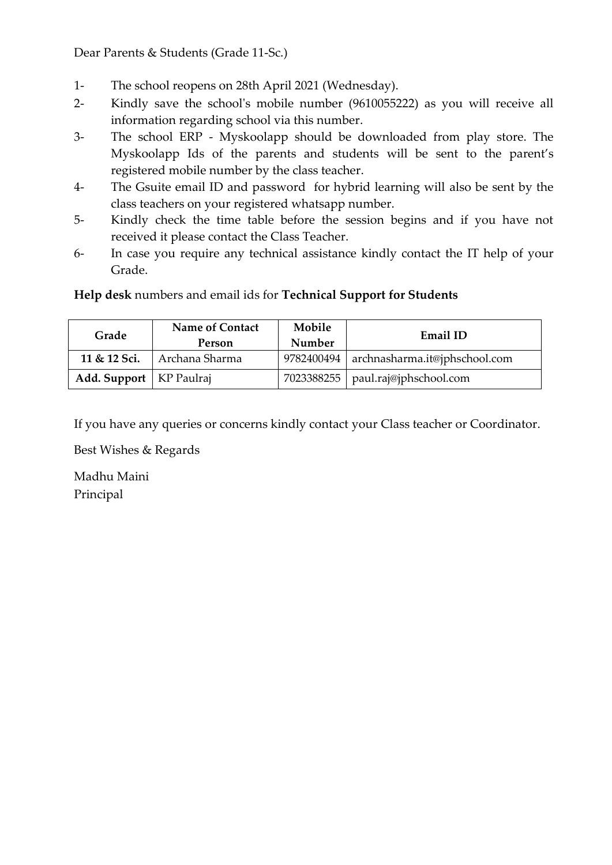Dear Parents & Students (Grade 11-Sc.)

- 1- The school reopens on 28th April 2021 (Wednesday).
- 2- Kindly save the school's mobile number (9610055222) as you will receive all information regarding school via this number.
- 3- The school ERP Myskoolapp should be downloaded from play store. The Myskoolapp Ids of the parents and students will be sent to the parent's registered mobile number by the class teacher.
- 4- The Gsuite email ID and password for hybrid learning will also be sent by the class teachers on your registered whatsapp number.
- 5- Kindly check the time table before the session begins and if you have not received it please contact the Class Teacher.
- 6- In case you require any technical assistance kindly contact the IT help of your Grade.

**Help desk** numbers and email ids for **Technical Support for Students** 

| Grade                     | <b>Name of Contact</b><br><b>Person</b> | Mobile<br>Number | <b>Email ID</b>                            |
|---------------------------|-----------------------------------------|------------------|--------------------------------------------|
| 11 & 12 Sci.              | Archana Sharma                          |                  | 9782400494   archnasharma.it@jphschool.com |
| Add. Support   KP Paulraj |                                         |                  | 7023388255   paul.raj@jphschool.com        |

If you have any queries or concerns kindly contact your Class teacher or Coordinator.

Best Wishes & Regards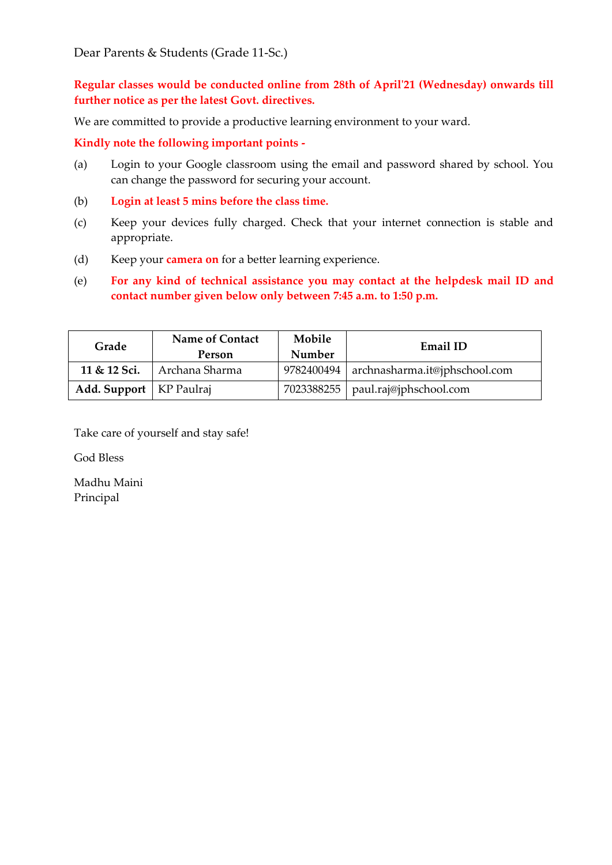Dear Parents & Students (Grade 11-Sc.)

**Regular classes would be conducted online from 28th of April'21 (Wednesday) onwards till further notice as per the latest Govt. directives.**

We are committed to provide a productive learning environment to your ward.

**Kindly note the following important points -**

- (a) Login to your Google classroom using the email and password shared by school. You can change the password for securing your account.
- (b) **Login at least 5 mins before the class time.**
- (c) Keep your devices fully charged. Check that your internet connection is stable and appropriate.
- (d) Keep your **camera on** for a better learning experience.
- (e) **For any kind of technical assistance you may contact at the helpdesk mail ID and contact number given below only between 7:45 a.m. to 1:50 p.m.**

| Grade                     | <b>Name of Contact</b><br>Person | Mobile<br>Number | <b>Email ID</b>                            |
|---------------------------|----------------------------------|------------------|--------------------------------------------|
|                           | 11 & 12 Sci.   Archana Sharma    |                  | 9782400494   archnasharma.it@jphschool.com |
| Add. Support   KP Paulraj |                                  |                  | 7023388255   paul.raj@jphschool.com        |

Take care of yourself and stay safe!

God Bless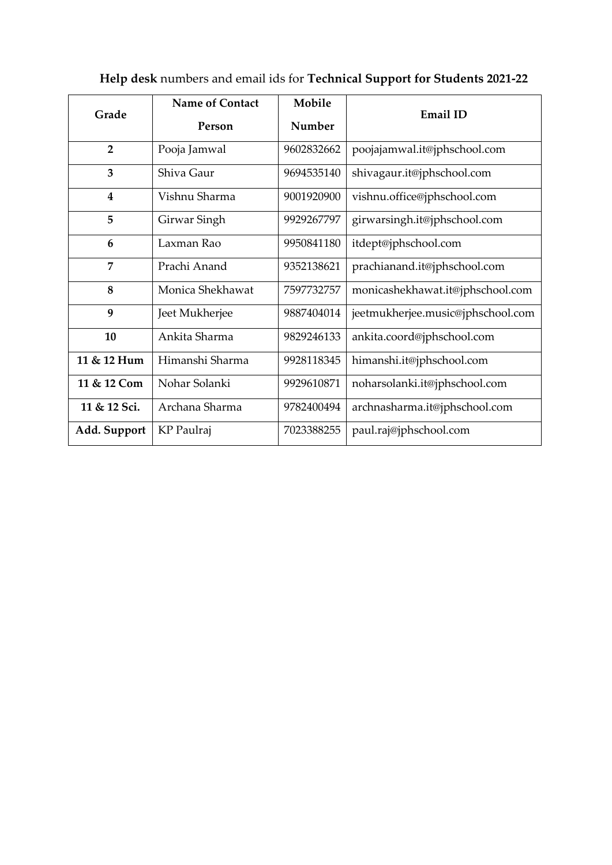|                         | Name of Contact  | Mobile     |                                   |
|-------------------------|------------------|------------|-----------------------------------|
| Grade                   | Person           | Number     | <b>Email ID</b>                   |
| $\overline{2}$          | Pooja Jamwal     | 9602832662 | poojajamwal.it@jphschool.com      |
| 3                       | Shiva Gaur       | 9694535140 | shivagaur.it@jphschool.com        |
| $\overline{\mathbf{4}}$ | Vishnu Sharma    | 9001920900 | vishnu.office@jphschool.com       |
| 5                       | Girwar Singh     | 9929267797 | girwarsingh.it@jphschool.com      |
| 6                       | Laxman Rao       | 9950841180 | itdept@jphschool.com              |
| $\overline{7}$          | Prachi Anand     | 9352138621 | prachianand.it@jphschool.com      |
| 8                       | Monica Shekhawat | 7597732757 | monicashekhawat.it@jphschool.com  |
| $\boldsymbol{9}$        | Jeet Mukherjee   | 9887404014 | jeetmukherjee.music@jphschool.com |
| 10                      | Ankita Sharma    | 9829246133 | ankita.coord@jphschool.com        |
| 11 & 12 Hum             | Himanshi Sharma  | 9928118345 | himanshi.it@jphschool.com         |
| 11 & 12 Com             | Nohar Solanki    | 9929610871 | noharsolanki.it@jphschool.com     |
| 11 & 12 Sci.            | Archana Sharma   | 9782400494 | archnasharma.it@jphschool.com     |
| Add. Support            | KP Paulraj       | 7023388255 | paul.raj@jphschool.com            |

# **Help desk** numbers and email ids for **Technical Support for Students 2021-22**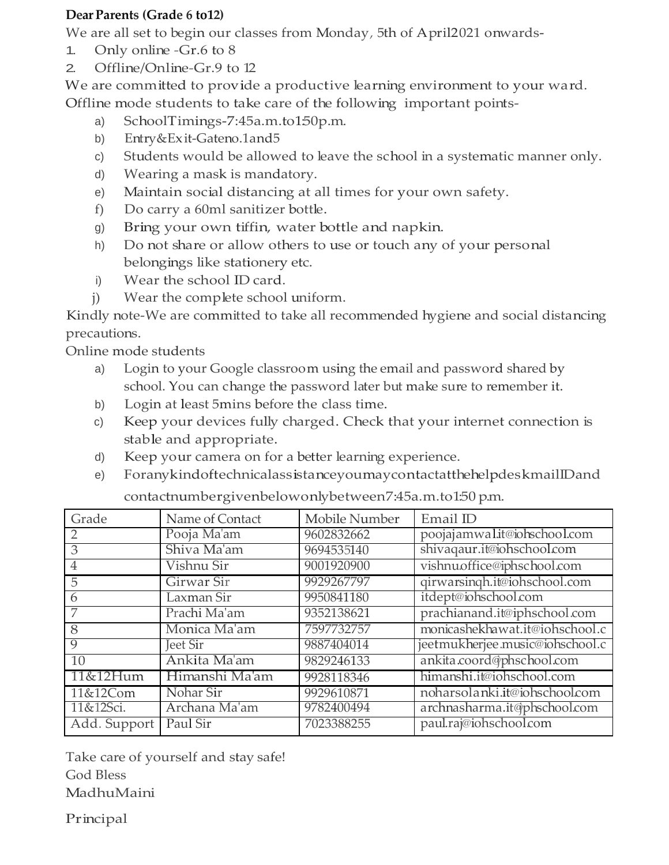# **Dear Parents (Grade 6 to12)**

We are all set to begin our classes from Monday, 5th of April2021 onwards-

- 1. Only online -Gr.6 to 8
- 2. Offline/Online-Gr.9 to 12

We are committed to provide a productive learning environment to your ward. Offline mode students to take care of the following important points-

- a) SchoolTimings-7:45a.m.to150p.m.
- b) Entry&Exit-Gateno.1and5
- c) Students would be allowed to leave the school in a systematic manner only.
- d) Wearing a mask is mandatory.
- e) Maintain social distancing at all times for your own safety.
- f) Do carry a 60ml sanitizer bottle.
- g) Bring your own tiffin, water bottle and napkin.
- h) Do not share or allow others to use or touch any of your personal belongings like stationery etc.
- i) Wear the school ID card.
- j) Wear the complete school uniform.

Kindly note-We are committed to take all recommended hygiene and social distancing precautions.

Online mode students

- a) Login to your Google classroom using the email and password shared by school. You can change the password later but make sure to remember it.
- b) Login at least 5mins before the class time.
- c) Keep your devices fully charged. Check that your internet connection is stable and appropriate.
- d) Keep your camera on for a better learning experience.
- e) ForanykindoftechnicalassistanceyoumaycontactatthehelpdeskmailIDand

| Grade          | Name of Contact | Mobile Number | Email ID                        |
|----------------|-----------------|---------------|---------------------------------|
|                | Pooja Ma'am     | 9602832662    | poojajamwalit@iohschool.com     |
| 3              | Shiva Ma'am     | 9694535140    | shivaqaur.it@iohschool.com      |
| $\overline{4}$ | Vishnu Sir      | 9001920900    | vishnu.office@iphschool.com     |
| 5              | Girwar Sir      | 9929267797    | qirwarsingh.it@iohschool.com    |
| 6              | Laxman Sir      | 9950841180    | itdept@iohschool.com            |
|                | Prachi Ma'am    | 9352138621    | prachianand.it@iphschool.com    |
| $\overline{8}$ | Monica Ma'am    | 7597732757    | monicashekhawat.it@iohschool.c  |
| $\overline{9}$ | <b>Jeet Sir</b> | 9887404014    | jeetmukherjee.music@iohschool.c |
| 10             | Ankita Ma'am    | 9829246133    | ankita.coord@phschool.com       |
| 11&12Hum       | Himanshi Ma'am  | 9928118346    | himanshi.it@iohschool.com       |
| 11&12Com       | Nohar Sir       | 9929610871    | noharsolanki.it@iohschool.com   |
| 11&12Sci.      | Archana Ma'am   | 9782400494    | archnasharma.it@phschool.com    |
| Add. Support   | Paul Sir        | 7023388255    | paul.raj@iohschool.com          |
|                |                 |               |                                 |

contactnumbergivenbelowonlybetween7:45a.m.to1:50 p.m.

Take care of yourself and stay safe! God Bless MadhuMaini

Principal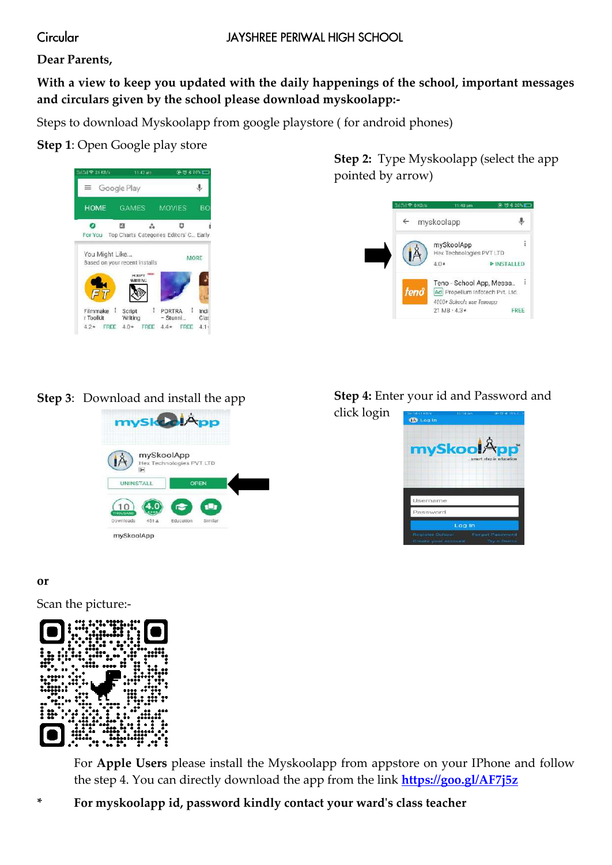# Circular

# **Dear Parents,**

# **With a view to keep you updated with the daily happenings of the school, important messages and circulars given by the school please download myskoolapp:-**

Steps to download Myskoolapp from google playstore ( for android phones)

# **Step 1**: Open Google play store



**Step 2:** Type Myskoolapp (select the app pointed by arrow)



# **Step 3**: Download and install the app



# **Step 4:** Enter your id and Password and

click login



## **or**

Scan the picture:-



For **Apple Users** please install the Myskoolapp from appstore on your IPhone and follow the step 4. You can directly download the app from the link **<https://goo.gl/AF7j5z>**

**\* For myskoolapp id, password kindly contact your ward's class teacher**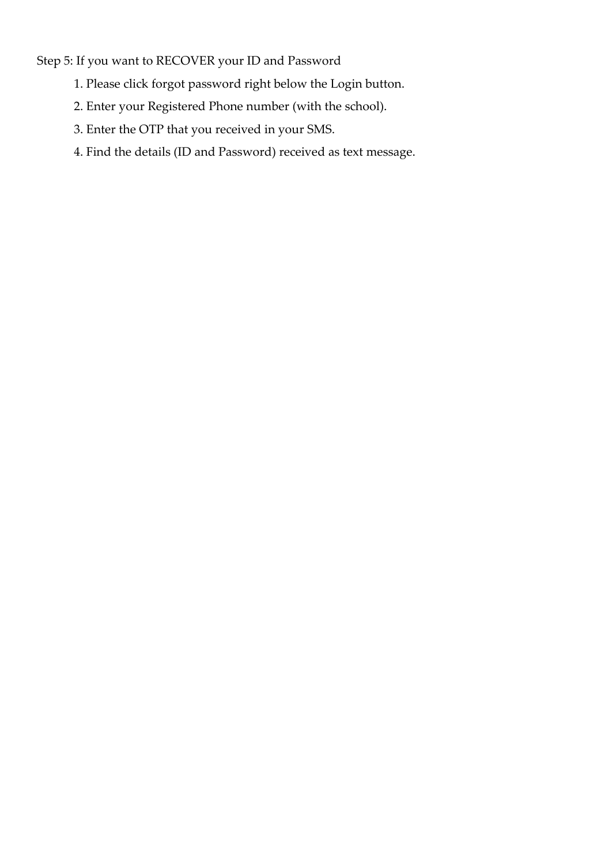Step 5: If you want to RECOVER your ID and Password

- 1. Please click forgot password right below the Login button.
- 2. Enter your Registered Phone number (with the school).
- 3. Enter the OTP that you received in your SMS.
- 4. Find the details (ID and Password) received as text message.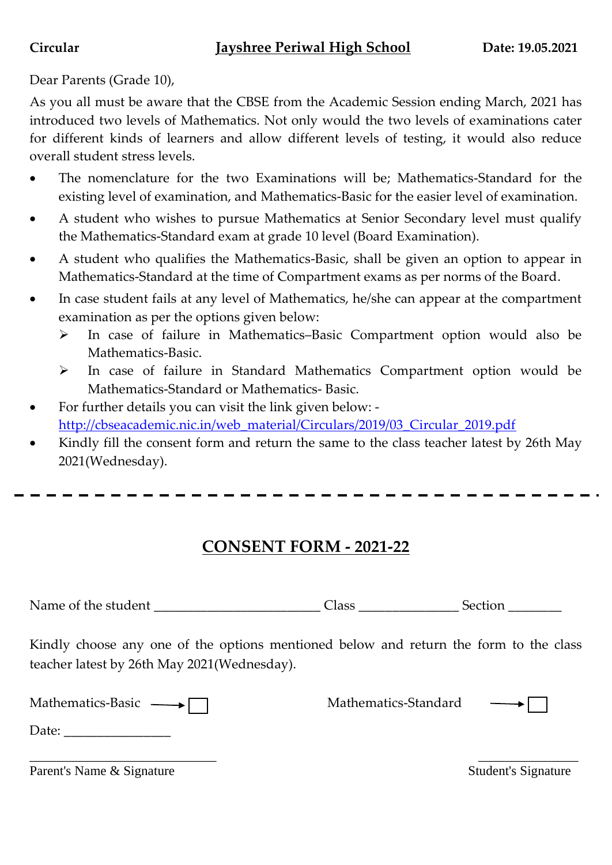# **Circular Jayshree Periwal High School Date: 19.05.2021**

# Dear Parents (Grade 10),

As you all must be aware that the CBSE from the Academic Session ending March, 2021 has introduced two levels of Mathematics. Not only would the two levels of examinations cater for different kinds of learners and allow different levels of testing, it would also reduce overall student stress levels.

- The nomenclature for the two Examinations will be; Mathematics-Standard for the existing level of examination, and Mathematics-Basic for the easier level of examination.
- A student who wishes to pursue Mathematics at Senior Secondary level must qualify the Mathematics-Standard exam at grade 10 level (Board Examination).
- A student who qualifies the Mathematics-Basic, shall be given an option to appear in Mathematics-Standard at the time of Compartment exams as per norms of the Board.
- In case student fails at any level of Mathematics, he/she can appear at the compartment examination as per the options given below:
	- In case of failure in Mathematics–Basic Compartment option would also be Mathematics-Basic.
	- In case of failure in Standard Mathematics Compartment option would be Mathematics-Standard or Mathematics- Basic.
- For further details you can visit the link given below: [http://cbseacademic.nic.in/web\\_material/Circulars/2019/03\\_Circular\\_2019.pdf](http://cbseacademic.nic.in/web_material/Circulars/2019/03_Circular_2019.pdf)
- Kindly fill the consent form and return the same to the class teacher latest by 26th May 2021(Wednesday).

# **CONSENT FORM - 2021-22**

Name of the student \_\_\_\_\_\_\_\_\_\_\_\_\_\_\_\_\_\_\_\_\_\_\_\_\_ Class \_\_\_\_\_\_\_\_\_\_\_\_\_\_\_ Section \_\_\_\_\_\_\_\_

Kindly choose any one of the options mentioned below and return the form to the class teacher latest by 26th May 2021(Wednesday).

| <b>Mathematics-Basic</b> |  |  |  |
|--------------------------|--|--|--|
|--------------------------|--|--|--|

Mathematics-Standard —



 $\overline{\phantom{a}}$  , and the contract of the contract of the contract of the contract of the contract of the contract of the contract of the contract of the contract of the contract of the contract of the contract of the contrac Parent's Name & Signature Student's Signature Student's Signature

Date: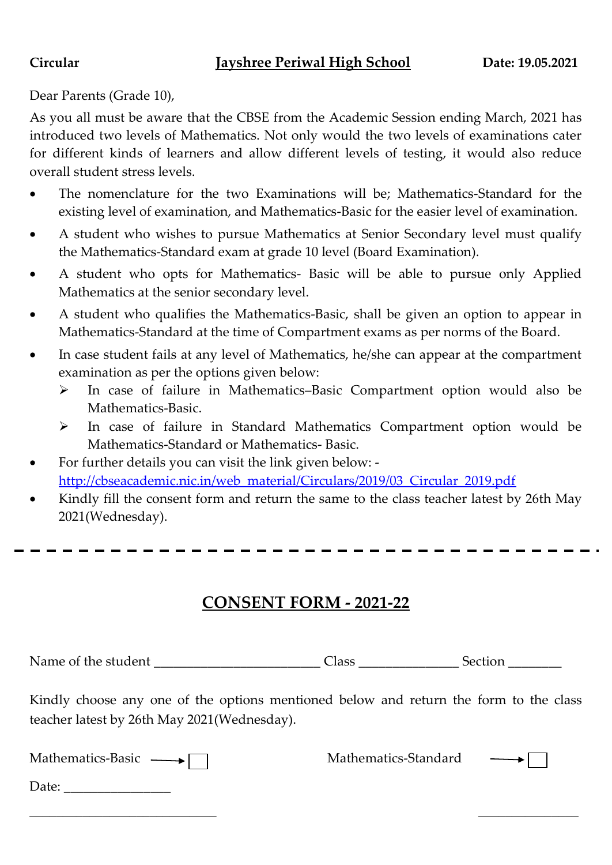# **Circular Jayshree Periwal High School Date: 19.05.2021**

Dear Parents (Grade 10),

As you all must be aware that the CBSE from the Academic Session ending March, 2021 has introduced two levels of Mathematics. Not only would the two levels of examinations cater for different kinds of learners and allow different levels of testing, it would also reduce overall student stress levels.

- The nomenclature for the two Examinations will be; Mathematics-Standard for the existing level of examination, and Mathematics-Basic for the easier level of examination.
- A student who wishes to pursue Mathematics at Senior Secondary level must qualify the Mathematics-Standard exam at grade 10 level (Board Examination).
- A student who opts for Mathematics- Basic will be able to pursue only Applied Mathematics at the senior secondary level.
- A student who qualifies the Mathematics-Basic, shall be given an option to appear in Mathematics-Standard at the time of Compartment exams as per norms of the Board.
- In case student fails at any level of Mathematics, he/she can appear at the compartment examination as per the options given below:
	- In case of failure in Mathematics–Basic Compartment option would also be Mathematics-Basic.
	- In case of failure in Standard Mathematics Compartment option would be Mathematics-Standard or Mathematics- Basic.
- For further details you can visit the link given below: [http://cbseacademic.nic.in/web\\_material/Circulars/2019/03\\_Circular\\_2019.pdf](http://cbseacademic.nic.in/web_material/Circulars/2019/03_Circular_2019.pdf)
- Kindly fill the consent form and return the same to the class teacher latest by 26th May 2021(Wednesday).

# **CONSENT FORM - 2021-22**

Name of the student and the student and  $\alpha$  Class and Section  $\alpha$ 

Kindly choose any one of the options mentioned below and return the form to the class teacher latest by 26th May 2021(Wednesday).

\_\_\_\_\_\_\_\_\_\_\_\_\_\_\_\_\_\_\_\_\_\_\_\_\_\_\_\_ \_\_\_\_\_\_\_\_\_\_\_\_\_\_\_

| Mathematics-Basic |  |
|-------------------|--|
|                   |  |

Mathematics-Standard



Date: \_\_\_\_\_\_\_\_\_\_\_\_\_\_\_\_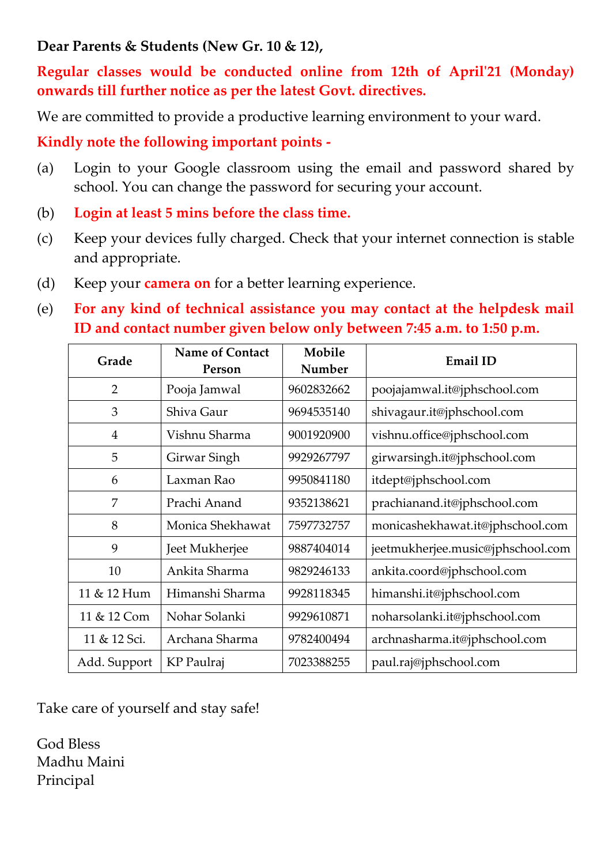# **Dear Parents & Students (New Gr. 10 & 12),**

**Regular classes would be conducted online from 12th of April'21 (Monday) onwards till further notice as per the latest Govt. directives.**

We are committed to provide a productive learning environment to your ward.

**Kindly note the following important points -**

- (a) Login to your Google classroom using the email and password shared by school. You can change the password for securing your account.
- (b) **Login at least 5 mins before the class time.**
- (c) Keep your devices fully charged. Check that your internet connection is stable and appropriate.
- (d) Keep your **camera on** for a better learning experience.
- (e) **For any kind of technical assistance you may contact at the helpdesk mail ID and contact number given below only between 7:45 a.m. to 1:50 p.m.**

| Grade          | <b>Name of Contact</b><br>Person | Mobile<br>Number | <b>Email ID</b>                   |
|----------------|----------------------------------|------------------|-----------------------------------|
| $\overline{2}$ | Pooja Jamwal                     | 9602832662       | poojajamwal.it@jphschool.com      |
| 3              | Shiva Gaur                       | 9694535140       | shivagaur.it@jphschool.com        |
| $\overline{4}$ | Vishnu Sharma                    | 9001920900       | vishnu.office@jphschool.com       |
| 5              | Girwar Singh                     | 9929267797       | girwarsingh.it@jphschool.com      |
| 6              | Laxman Rao                       | 9950841180       | itdept@jphschool.com              |
| $\overline{7}$ | Prachi Anand                     | 9352138621       | prachianand.it@jphschool.com      |
| 8              | Monica Shekhawat                 | 7597732757       | monicashekhawat.it@jphschool.com  |
| 9              | Jeet Mukherjee                   | 9887404014       | jeetmukherjee.music@jphschool.com |
| 10             | Ankita Sharma                    | 9829246133       | ankita.coord@jphschool.com        |
| 11 & 12 Hum    | Himanshi Sharma                  | 9928118345       | himanshi.it@jphschool.com         |
| 11 & 12 Com    | Nohar Solanki                    | 9929610871       | noharsolanki.it@jphschool.com     |
| 11 & 12 Sci.   | Archana Sharma                   | 9782400494       | archnasharma.it@jphschool.com     |
| Add. Support   | KP Paulraj                       | 7023388255       | paul.raj@jphschool.com            |

Take care of yourself and stay safe!

God Bless Madhu Maini Principal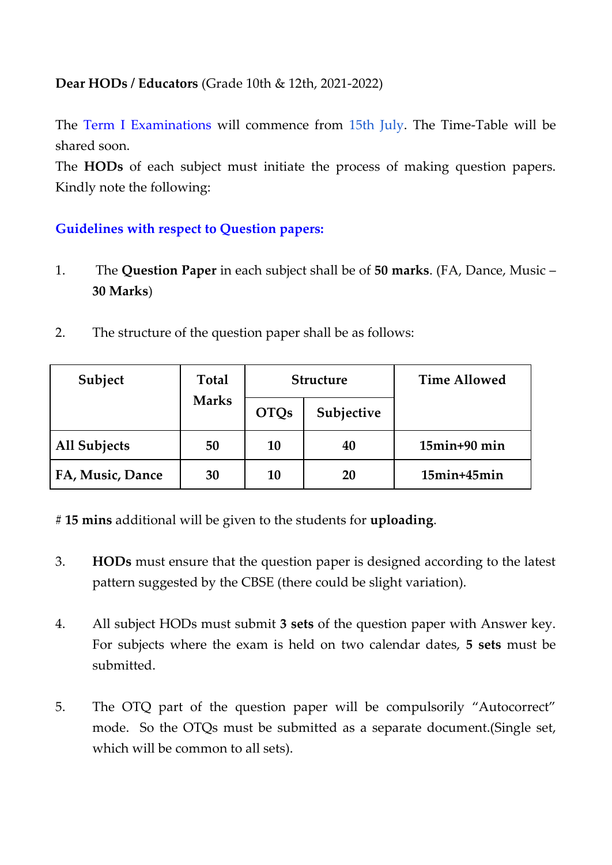# **Dear HODs / Educators** (Grade 10th & 12th, 2021-2022)

The Term I Examinations will commence from 15th July. The Time-Table will be shared soon.

The **HODs** of each subject must initiate the process of making question papers. Kindly note the following:

# **Guidelines with respect to Question papers:**

- 1. The **Question Paper** in each subject shall be of **50 marks**. (FA, Dance, Music **30 Marks**)
- 2. The structure of the question paper shall be as follows:

| Subject          | <b>Total</b> | <b>Structure</b> |            | <b>Time Allowed</b> |
|------------------|--------------|------------------|------------|---------------------|
|                  | <b>Marks</b> | <b>OTQs</b>      | Subjective |                     |
| All Subjects     | 50           | 10               | 40         | $15$ min $+90$ min  |
| FA, Music, Dance | 30           | 10               | 20         | $15$ min+ $45$ min  |

# **15 mins** additional will be given to the students for **uploading**.

- 3. **HODs** must ensure that the question paper is designed according to the latest pattern suggested by the CBSE (there could be slight variation).
- 4. All subject HODs must submit **3 sets** of the question paper with Answer key. For subjects where the exam is held on two calendar dates, **5 sets** must be submitted.
- 5. The OTQ part of the question paper will be compulsorily "Autocorrect" mode. So the OTQs must be submitted as a separate document.(Single set, which will be common to all sets).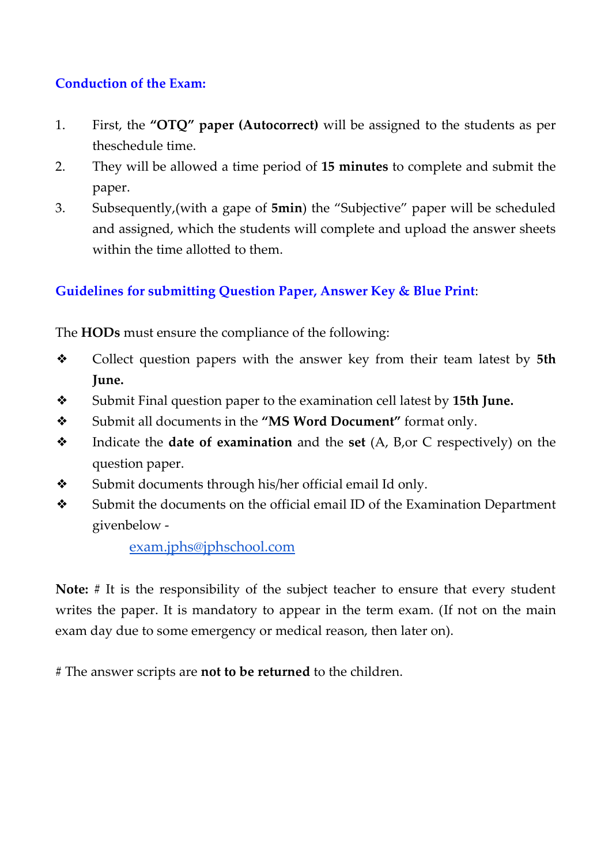# **Conduction of the Exam:**

- 1. First, the **"OTQ" paper (Autocorrect)** will be assigned to the students as per theschedule time.
- 2. They will be allowed a time period of **15 minutes** to complete and submit the paper.
- 3. Subsequently,(with a gape of **5min**) the "Subjective" paper will be scheduled and assigned, which the students will complete and upload the answer sheets within the time allotted to them.

# **Guidelines for submitting Question Paper, Answer Key & Blue Print**:

The **HODs** must ensure the compliance of the following:

- ❖ Collect question papers with the answer key from their team latest by **5th June.**
- ❖ Submit Final question paper to the examination cell latest by **15th June.**
- ❖ Submit all documents in the **"MS Word Document"** format only.
- ❖ Indicate the **date of examination** and the **set** (A, B,or C respectively) on the question paper.
- ❖ Submit documents through his/her official email Id only.
- ❖ Submit the documents on the official email ID of the Examination Department givenbelow -

# [exam.jphs@jphschool.com](mailto:exam.jphs@jphschool.com)

**Note:** # It is the responsibility of the subject teacher to ensure that every student writes the paper. It is mandatory to appear in the term exam. (If not on the main exam day due to some emergency or medical reason, then later on).

# The answer scripts are **not to be returned** to the children.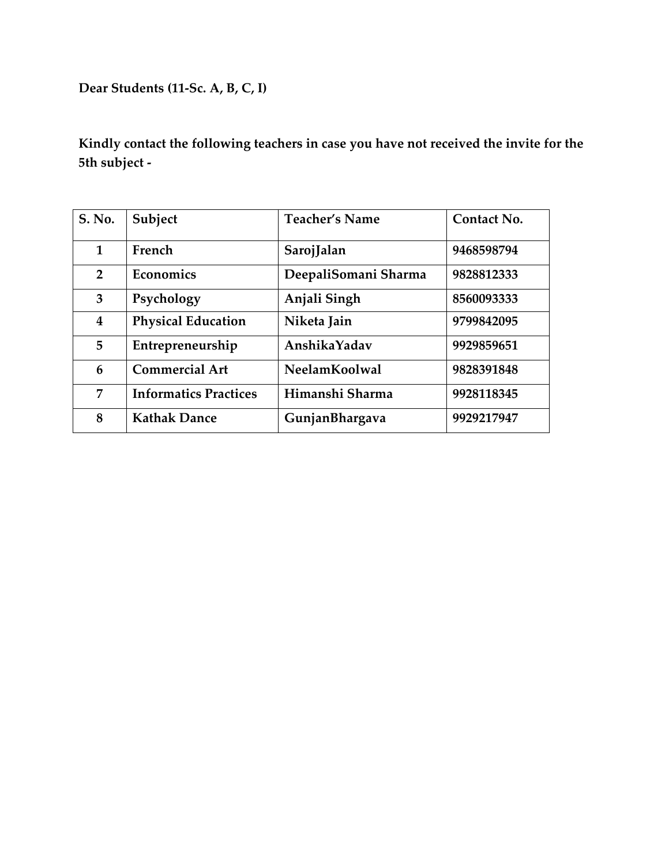**Dear Students (11-Sc. A, B, C, I)**

| S. No.                  | Subject                      | <b>Teacher's Name</b> | Contact No. |
|-------------------------|------------------------------|-----------------------|-------------|
| 1                       | French                       | SarojJalan            | 9468598794  |
| $\overline{2}$          | Economics                    | DeepaliSomani Sharma  | 9828812333  |
| 3                       | Psychology                   | Anjali Singh          | 8560093333  |
| $\overline{\mathbf{4}}$ | <b>Physical Education</b>    | Niketa Jain           | 9799842095  |
| 5                       | Entrepreneurship             | AnshikaYadav          | 9929859651  |
| 6                       | <b>Commercial Art</b>        | NeelamKoolwal         | 9828391848  |
| 7                       | <b>Informatics Practices</b> | Himanshi Sharma       | 9928118345  |
| 8                       | <b>Kathak Dance</b>          | GunjanBhargava        | 9929217947  |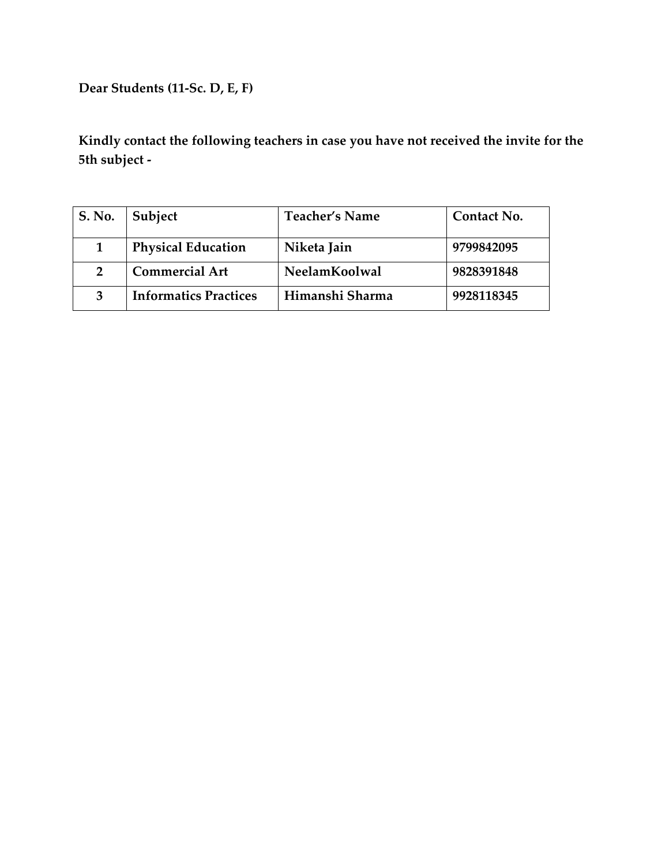**Dear Students (11-Sc. D, E, F)**

| S. No.         | Subject                      | <b>Teacher's Name</b> | Contact No. |
|----------------|------------------------------|-----------------------|-------------|
|                | <b>Physical Education</b>    | Niketa Jain           | 9799842095  |
| $\overline{2}$ | <b>Commercial Art</b>        | NeelamKoolwal         | 9828391848  |
|                | <b>Informatics Practices</b> | Himanshi Sharma       | 9928118345  |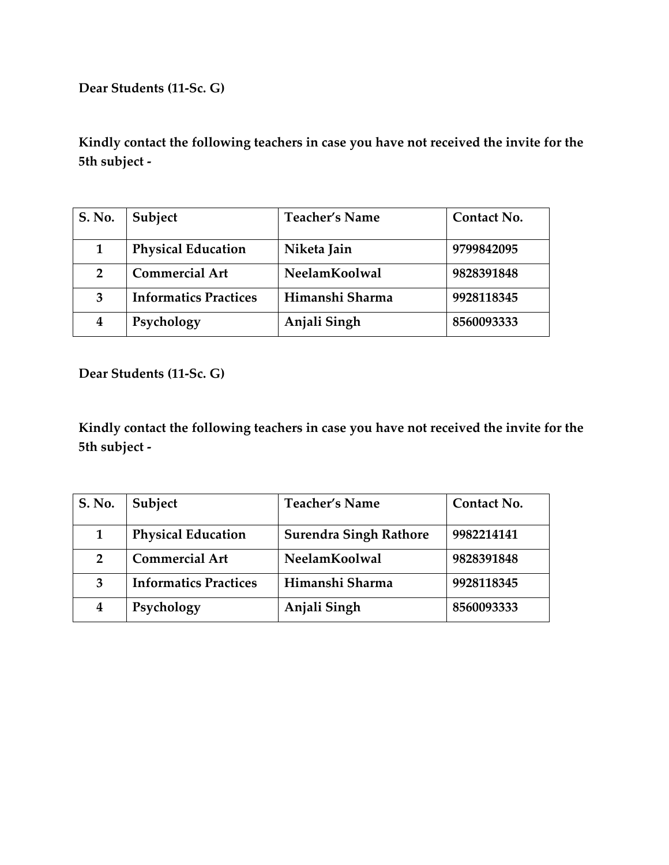**Dear Students (11-Sc. G)**

**Kindly contact the following teachers in case you have not received the invite for the 5th subject -**

| S. No.         | Subject                      | <b>Teacher's Name</b> | Contact No. |
|----------------|------------------------------|-----------------------|-------------|
| 1              | <b>Physical Education</b>    | Niketa Jain           | 9799842095  |
| $\overline{2}$ | <b>Commercial Art</b>        | NeelamKoolwal         | 9828391848  |
| 3              | <b>Informatics Practices</b> | Himanshi Sharma       | 9928118345  |
| 4              | Psychology                   | Anjali Singh          | 8560093333  |

**Dear Students (11-Sc. G)**

| S. No.         | Subject                      | <b>Teacher's Name</b>         | Contact No. |
|----------------|------------------------------|-------------------------------|-------------|
| 1              | <b>Physical Education</b>    | <b>Surendra Singh Rathore</b> | 9982214141  |
| $\overline{2}$ | <b>Commercial Art</b>        | NeelamKoolwal                 | 9828391848  |
| 3              | <b>Informatics Practices</b> | Himanshi Sharma               | 9928118345  |
| 4              | Psychology                   | Anjali Singh                  | 8560093333  |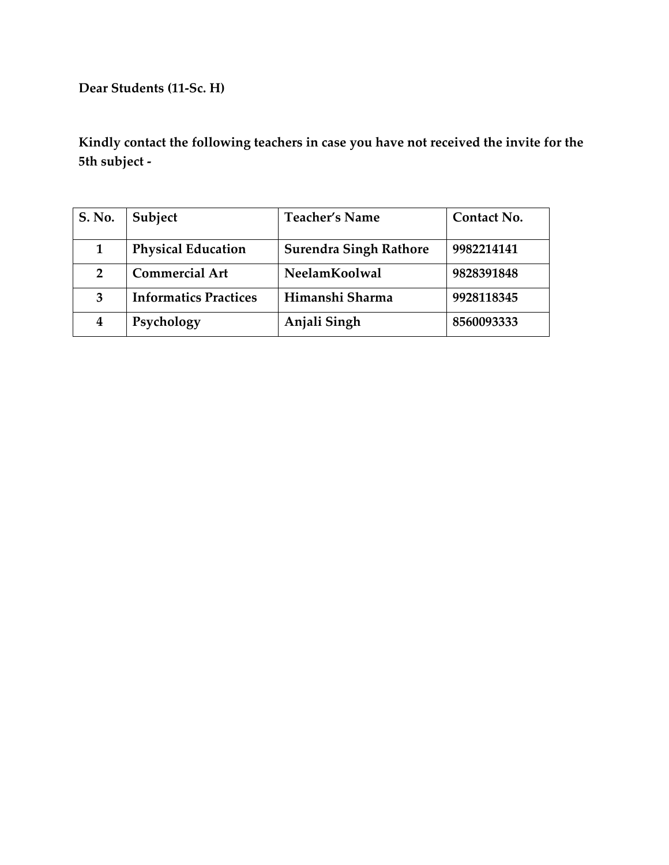**Dear Students (11-Sc. H)**

| S. No.         | Subject                      | <b>Teacher's Name</b>         | Contact No. |
|----------------|------------------------------|-------------------------------|-------------|
|                | <b>Physical Education</b>    | <b>Surendra Singh Rathore</b> | 9982214141  |
| $\overline{2}$ | <b>Commercial Art</b>        | NeelamKoolwal                 | 9828391848  |
| 3              | <b>Informatics Practices</b> | Himanshi Sharma               | 9928118345  |
| 4              | Psychology                   | Anjali Singh                  | 8560093333  |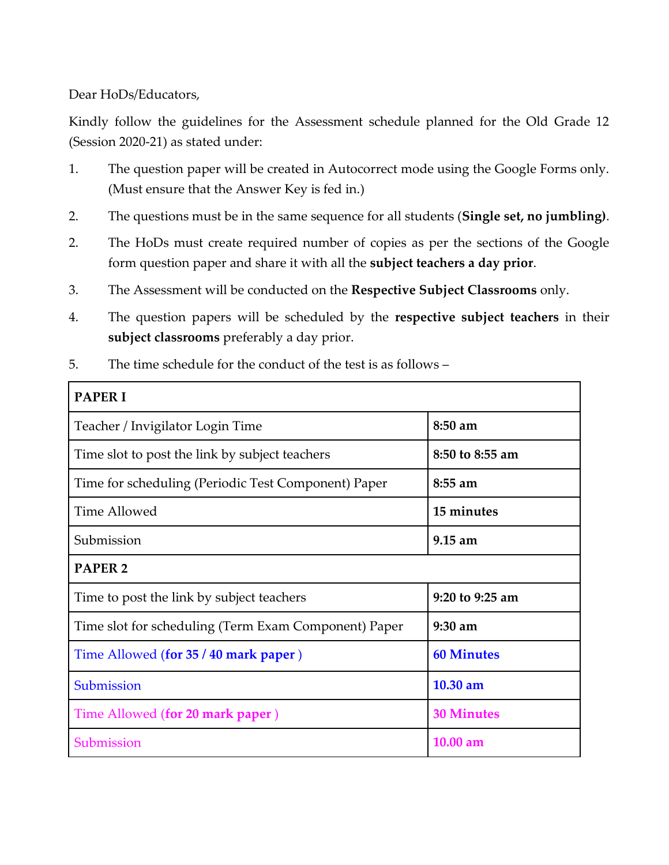Dear HoDs/Educators,

Kindly follow the guidelines for the Assessment schedule planned for the Old Grade 12 (Session 2020-21) as stated under:

- 1. The question paper will be created in Autocorrect mode using the Google Forms only. (Must ensure that the Answer Key is fed in.)
- 2. The questions must be in the same sequence for all students (**Single set, no jumbling)**.
- 2. The HoDs must create required number of copies as per the sections of the Google form question paper and share it with all the **subject teachers a day prior**.
- 3. The Assessment will be conducted on the **Respective Subject Classrooms** only.
- 4. The question papers will be scheduled by the **respective subject teachers** in their **subject classrooms** preferably a day prior.

| 5.<br>The time schedule for the conduct of the test is as follows – |  |
|---------------------------------------------------------------------|--|
|---------------------------------------------------------------------|--|

| <b>PAPERI</b>                                        |                   |
|------------------------------------------------------|-------------------|
| Teacher / Invigilator Login Time                     | 8:50 am           |
| Time slot to post the link by subject teachers       | 8:50 to 8:55 am   |
| Time for scheduling (Periodic Test Component) Paper  | 8:55 am           |
| Time Allowed                                         | 15 minutes        |
| Submission                                           | $9.15$ am         |
| <b>PAPER 2</b>                                       |                   |
| Time to post the link by subject teachers            | 9:20 to 9:25 am   |
| Time slot for scheduling (Term Exam Component) Paper | $9:30$ am         |
| Time Allowed (for 35 / 40 mark paper)                | <b>60 Minutes</b> |
| Submission                                           | 10.30 am          |
| Time Allowed (for 20 mark paper)                     | <b>30 Minutes</b> |
| Submission                                           | $10.00$ am        |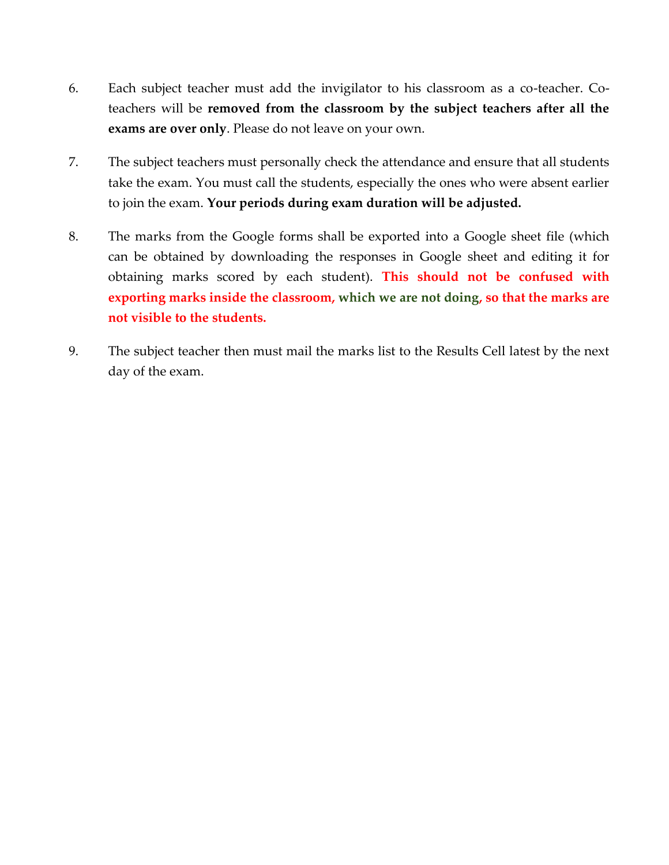- 6. Each subject teacher must add the invigilator to his classroom as a co-teacher. Coteachers will be **removed from the classroom by the subject teachers after all the exams are over only**. Please do not leave on your own.
- 7. The subject teachers must personally check the attendance and ensure that all students take the exam. You must call the students, especially the ones who were absent earlier to join the exam. **Your periods during exam duration will be adjusted.**
- 8. The marks from the Google forms shall be exported into a Google sheet file (which can be obtained by downloading the responses in Google sheet and editing it for obtaining marks scored by each student). **This should not be confused with exporting marks inside the classroom, which we are not doing, so that the marks are not visible to the students.**
- 9. The subject teacher then must mail the marks list to the Results Cell latest by the next day of the exam.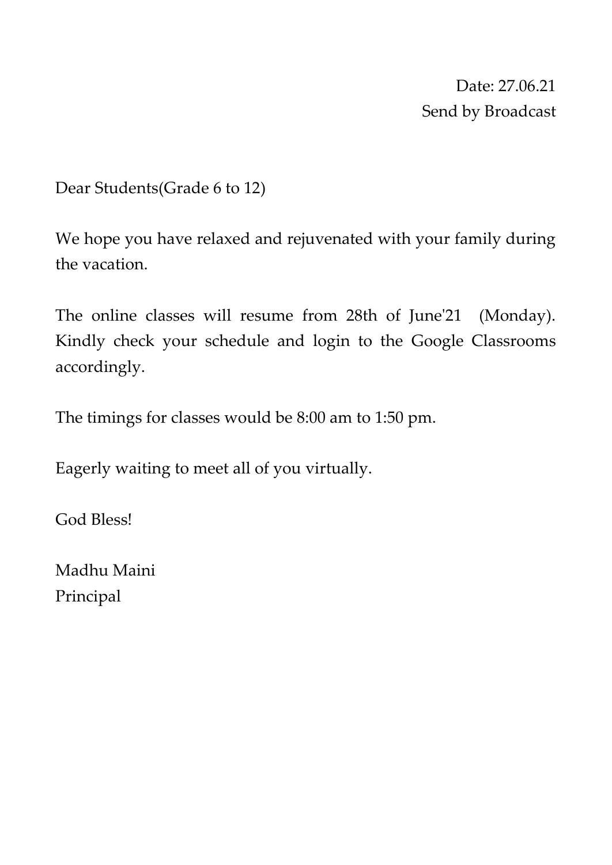Date: 27.06.21 Send by Broadcast

Dear Students(Grade 6 to 12)

We hope you have relaxed and rejuvenated with your family during the vacation.

The online classes will resume from 28th of June'21 (Monday). Kindly check your schedule and login to the Google Classrooms accordingly.

The timings for classes would be 8:00 am to 1:50 pm.

Eagerly waiting to meet all of you virtually.

God Bless!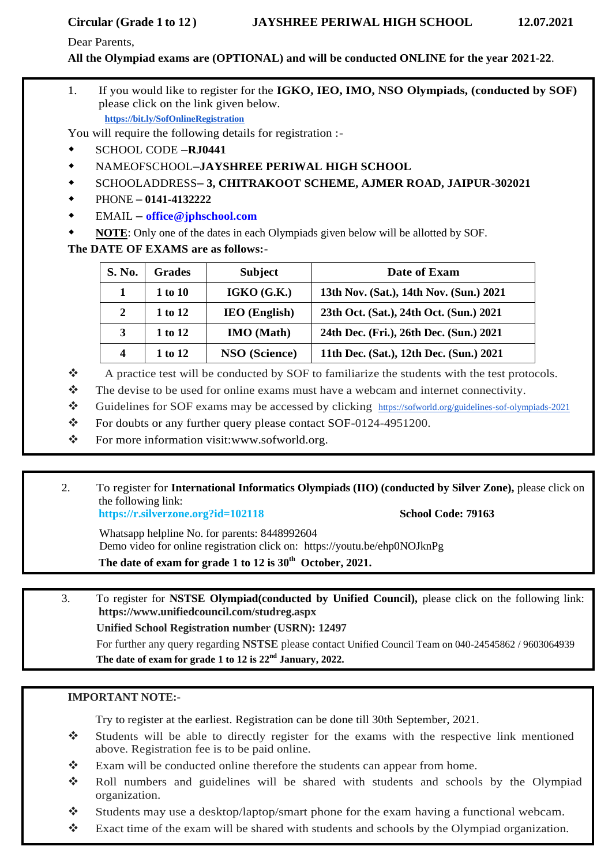### Dear Parents,

**All the Olympiad exams are (OPTIONAL) and will be conducted ONLINE for the year 2021-22**.

1. If you would like to register for the **IGKO, IEO, IMO, NSO Olympiads, (conducted by SOF)**  please click on the link given below. **[https://bit.ly/SofOnlineRegistration](http://fapp1.ftrans01.com/QDJCEAWFP?id=15165=dh8ACQcDBlQNHwEOUFxTBlYIB1sDAAYNBgJQVFcCBgZQVQYOUgNSV1lSVghSBgEEUAhJEVUSCkdfVwVZBlNxAlgCWVUYVVgPRFJSC1JWAAZXAAVUD1JTBwcCH1gRQkFfGkxWWEZGBkxeFxZYCBYAB0tSWg8YMCZ+c3QiZyNmDgxRH0YK&fl=XRdESQwZGARZExQISANERARfRlIGTwFbXR4ydC91dCRiJWA=&ext=aWQ9MTUxNjU9ZGg4QUNRY0RCbFFOSDFJQlZsTUlCZ1FEVTFjRkJGSURVd0ZRQXdOVVZWTU5Cd01BQTFjRkExMWFWbGhlVVFnRFhBUkpEMWdKQzBCRFhnVndIRmRaQ2xwTlUxWmJTZ1pVQ2xKV0RsQlhBUWRjQndGVUFsaGFTRmhGRjBCZkdSNERWQk5BQ0JoUVF4QlpEUmNKVjB0VFdRZ2VaQ1o5SWlkMVozY3pEd3hTVFJNRyZhbXA7Zmw9WFJkRVNVVU1HRTFhQ2hBWENod2ZaUXBYZWd4YkNBeFJZbFFFV1JaQ1F3UkJDbDlY)**

You will require the following details for registration :-

- SCHOOL CODE –**RJ0441**
- NAMEOFSCHOOL–**JAYSHREE PERIWAL HIGH SCHOOL**
- SCHOOLADDRESS– **3, CHITRAKOOT SCHEME, AJMER ROAD, JAIPUR-302021**
- PHONE **0141-4132222**
- EMAIL **[office@jphschool.com](mailto:office@jpischool.com)**
- **NOTE**: Only one of the dates in each Olympiads given below will be allotted by SOF.

## **The DATE OF EXAMS are as follows:-**

| S. No.                  | <b>Grades</b> | <b>Subject</b>       | Date of Exam                            |
|-------------------------|---------------|----------------------|-----------------------------------------|
| 1                       | 1 to 10       | IGKO(G.K.)           | 13th Nov. (Sat.), 14th Nov. (Sun.) 2021 |
| 2                       | 1 to 12       | $IEO$ (English)      | 23th Oct. (Sat.), 24th Oct. (Sun.) 2021 |
| 3                       | 1 to 12       | <b>IMO</b> (Math)    | 24th Dec. (Fri.), 26th Dec. (Sun.) 2021 |
| $\overline{\mathbf{4}}$ | 1 to 12       | <b>NSO</b> (Science) | 11th Dec. (Sat.), 12th Dec. (Sun.) 2021 |

- \* A practice test will be conducted by SOF to familiarize the students with the test protocols.
- $\mathbf{\hat{P}}$  The devise to be used for online exams must have a webcam and internet connectivity.
- Guidelines for SOF exams may be accessed by clicking [https://sofworld.org/guidelines-sof-olympiads-2021](http://fapp1.ftrans01.com/QDJCEAWFP?id=15165=dh8ACQcDBlQNH1cMA1RSV1AJB1pWUQYDUghXVFBQAAQEBlRbUAYHBw9aBlhVVwYBVFdJEVUSCkdfVwVZBlNxAlgCWVUYVVgPRFJSC1JWAAZXAAVUD1JTBwcCH1gRQkFfGkxWWEZGBkxeFxZYCBYAB0tSWg8YMCZ+c3QiZyNmDgxRH0YK&fl=XRdESQwZGARZExQISANERARfRlIGTwFbXR4ydC91dCRiJWA=&ext=aWQ9MTUxNjU9ZGg4QUNRY0RCbFFOSHdkZkJBUUNCRkJWVTFkVlZscFZWZ1JVQmx3QVV3WUFVVlJkQkZkVUJnOVZCZ3dBWFFNRkExZEpEMWdKQzBCRFhnVndIRmRaQ2xwTlUxWmJTZ1pVQ2xKV0RsQlhBUWRjQndGVUFsaGFTRmhGRjBCZkdSNERWQk5BQ0JoUVF4QlpEUmNKVjB0VFdRZ2VaQ1o5SWlkMVozY3pEd3hTVFJNRyZhbXA7Zmw9WFJkRVNVVU1HRTFMREFKT0NSZGNVa3RlUndVWUJoZGRWRlFQV1F0VFFraEdERllVV1ZwT0QwZ0tCVjBWU0FJR1Z3QT0=)
- \* For doubts or any further query please contact SOF-0124-4951200.
- \* For more information visit[:www.sofworld.org.](http://www.sofworld.org/)
- 2. To register for **International Informatics Olympiads (IIO) (conducted by Silver Zone),** please click on the following link:

**https://r.silverzone.org?id=102118 School Code: 79163**

Whatsapp helpline No. for parents: 8448992604 Demo video for online registration click on: https://youtu.be/ehp0NOJknPg **The date of exam for grade 1 to 12 is 30th October, 2021.**

3. To register for **NSTSE Olympiad(conducted by Unified Council),** please click on the following link: **https://www.unifiedcouncil.com/studreg.aspx Unified School Registration number (USRN): 12497** For further any query regarding **NSTSE** please contact Unified Council Team on 040-24545862 / 9603064939

**The date of exam for grade 1 to 12 is 22nd January, 2022.** 

## **IMPORTANT NOTE:-**

- Students will be able to directly register for the exams with the respective link mentioned above. Registration fee is to be paid online.
- \* Exam will be conducted online therefore the students can appear from home.
- \* Roll numbers and guidelines will be shared with students and schools by the Olympiad organization.
- $\bullet$  Students may use a desktop/laptop/smart phone for the exam having a functional webcam.
- Exact time of the exam will be shared with students and schools by the Olympiad organization.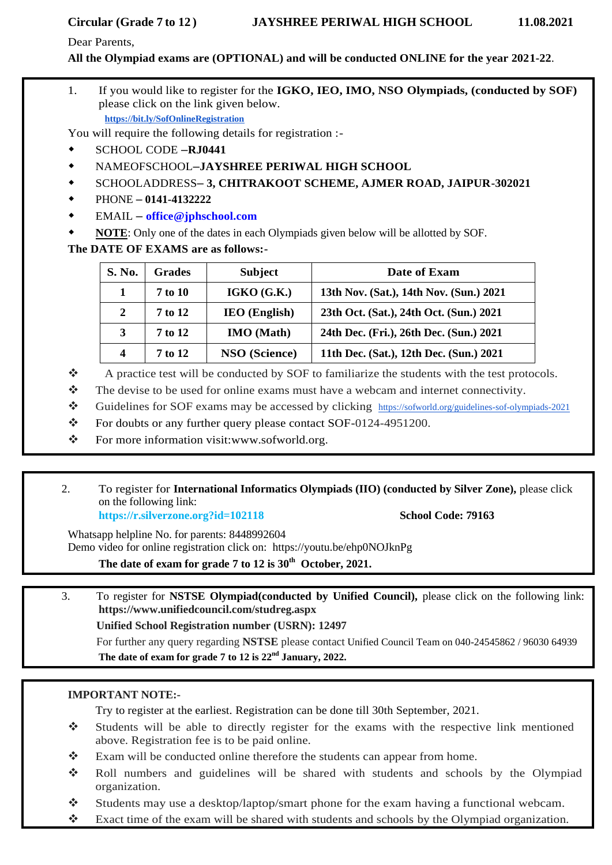Dear Parents,

**All the Olympiad exams are (OPTIONAL) and will be conducted ONLINE for the year 2021-22**.

1. If you would like to register for the **IGKO, IEO, IMO, NSO Olympiads, (conducted by SOF)**  please click on the link given below. **[https://bit.ly/SofOnlineRegistration](http://fapp1.ftrans01.com/QDJCEAWFP?id=15165=dh8ACQcDBlQNHwEOUFxTBlYIB1sDAAYNBgJQVFcCBgZQVQYOUgNSV1lSVghSBgEEUAhJEVUSCkdfVwVZBlNxAlgCWVUYVVgPRFJSC1JWAAZXAAVUD1JTBwcCH1gRQkFfGkxWWEZGBkxeFxZYCBYAB0tSWg8YMCZ+c3QiZyNmDgxRH0YK&fl=XRdESQwZGARZExQISANERARfRlIGTwFbXR4ydC91dCRiJWA=&ext=aWQ9MTUxNjU9ZGg4QUNRY0RCbFFOSDFJQlZsTUlCZ1FEVTFjRkJGSURVd0ZRQXdOVVZWTU5Cd01BQTFjRkExMWFWbGhlVVFnRFhBUkpEMWdKQzBCRFhnVndIRmRaQ2xwTlUxWmJTZ1pVQ2xKV0RsQlhBUWRjQndGVUFsaGFTRmhGRjBCZkdSNERWQk5BQ0JoUVF4QlpEUmNKVjB0VFdRZ2VaQ1o5SWlkMVozY3pEd3hTVFJNRyZhbXA7Zmw9WFJkRVNVVU1HRTFhQ2hBWENod2ZaUXBYZWd4YkNBeFJZbFFFV1JaQ1F3UkJDbDlY)**

You will require the following details for registration :-

- SCHOOL CODE –**RJ0441**
- NAMEOFSCHOOL–**JAYSHREE PERIWAL HIGH SCHOOL**
- SCHOOLADDRESS– **3, CHITRAKOOT SCHEME, AJMER ROAD, JAIPUR-302021**
- PHONE **0141-4132222**
- EMAIL **[office@jphschool.com](mailto:office@jpischool.com)**
- **NOTE**: Only one of the dates in each Olympiads given below will be allotted by SOF.

**The DATE OF EXAMS are as follows:-**

| S. No.           | <b>Grades</b> | <b>Subject</b>       | Date of Exam                            |
|------------------|---------------|----------------------|-----------------------------------------|
| 1                | 7 to 10       | IGKO(G.K.)           | 13th Nov. (Sat.), 14th Nov. (Sun.) 2021 |
| 2                | 7 to 12       | <b>IEO</b> (English) | 23th Oct. (Sat.), 24th Oct. (Sun.) 2021 |
| 3                | 7 to 12       | <b>IMO</b> (Math)    | 24th Dec. (Fri.), 26th Dec. (Sun.) 2021 |
| $\boldsymbol{4}$ | 7 to 12       | <b>NSO</b> (Science) | 11th Dec. (Sat.), 12th Dec. (Sun.) 2021 |

- \* A practice test will be conducted by SOF to familiarize the students with the test protocols.
- $\mathbf{\hat{P}}$  The devise to be used for online exams must have a webcam and internet connectivity.
- Guidelines for SOF exams may be accessed by clicking [https://sofworld.org/guidelines-sof-olympiads-2021](http://fapp1.ftrans01.com/QDJCEAWFP?id=15165=dh8ACQcDBlQNH1cMA1RSV1AJB1pWUQYDUghXVFBQAAQEBlRbUAYHBw9aBlhVVwYBVFdJEVUSCkdfVwVZBlNxAlgCWVUYVVgPRFJSC1JWAAZXAAVUD1JTBwcCH1gRQkFfGkxWWEZGBkxeFxZYCBYAB0tSWg8YMCZ+c3QiZyNmDgxRH0YK&fl=XRdESQwZGARZExQISANERARfRlIGTwFbXR4ydC91dCRiJWA=&ext=aWQ9MTUxNjU9ZGg4QUNRY0RCbFFOSHdkZkJBUUNCRkJWVTFkVlZscFZWZ1JVQmx3QVV3WUFVVlJkQkZkVUJnOVZCZ3dBWFFNRkExZEpEMWdKQzBCRFhnVndIRmRaQ2xwTlUxWmJTZ1pVQ2xKV0RsQlhBUWRjQndGVUFsaGFTRmhGRjBCZkdSNERWQk5BQ0JoUVF4QlpEUmNKVjB0VFdRZ2VaQ1o5SWlkMVozY3pEd3hTVFJNRyZhbXA7Zmw9WFJkRVNVVU1HRTFMREFKT0NSZGNVa3RlUndVWUJoZGRWRlFQV1F0VFFraEdERllVV1ZwT0QwZ0tCVjBWU0FJR1Z3QT0=)
- For doubts or any further query please contact SOF-0124-4951200.
- For more information visit[:www.sofworld.org.](http://www.sofworld.org/)
- 2. To register for **International Informatics Olympiads (IIO) (conducted by Silver Zone),** please click on the following link:

**https://r.silverzone.org?id=102118 School Code: 79163**

Whatsapp helpline No. for parents: 8448992604 Demo video for online registration click on: https://youtu.be/ehp0NOJknPg

**The date of exam for grade 7 to 12 is 30th October, 2021.**

3. To register for **NSTSE Olympiad(conducted by Unified Council),** please click on the following link: **https://www.unifiedcouncil.com/studreg.aspx**

**Unified School Registration number (USRN): 12497**

For further any query regarding **NSTSE** please contact Unified Council Team on 040-24545862 / 96030 64939 **The date of exam for grade 7 to 12 is 22nd January, 2022.** 

## **IMPORTANT NOTE:-**

- Students will be able to directly register for the exams with the respective link mentioned above. Registration fee is to be paid online.
- $\mathbf{\hat{P}}$  Exam will be conducted online therefore the students can appear from home.
- Roll numbers and guidelines will be shared with students and schools by the Olympiad organization.
- $\bullet$  Students may use a desktop/laptop/smart phone for the exam having a functional webcam.
- Exact time of the exam will be shared with students and schools by the Olympiad organization.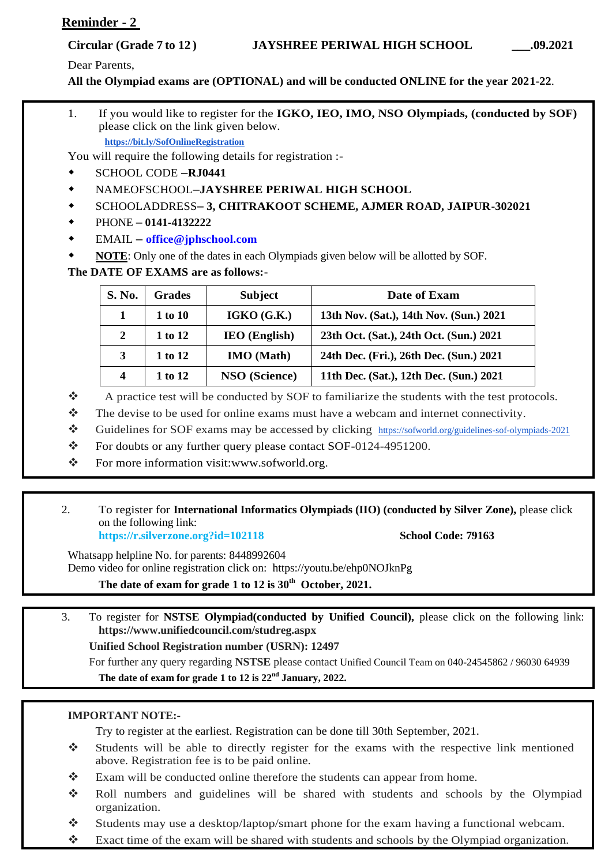# **Reminder - 2**

Dear Parents,

**All the Olympiad exams are (OPTIONAL) and will be conducted ONLINE for the year 2021-22**.

1. If you would like to register for the **IGKO, IEO, IMO, NSO Olympiads, (conducted by SOF)**  please click on the link given below. **[https://bit.ly/SofOnlineRegistration](http://fapp1.ftrans01.com/QDJCEAWFP?id=15165=dh8ACQcDBlQNHwEOUFxTBlYIB1sDAAYNBgJQVFcCBgZQVQYOUgNSV1lSVghSBgEEUAhJEVUSCkdfVwVZBlNxAlgCWVUYVVgPRFJSC1JWAAZXAAVUD1JTBwcCH1gRQkFfGkxWWEZGBkxeFxZYCBYAB0tSWg8YMCZ+c3QiZyNmDgxRH0YK&fl=XRdESQwZGARZExQISANERARfRlIGTwFbXR4ydC91dCRiJWA=&ext=aWQ9MTUxNjU9ZGg4QUNRY0RCbFFOSDFJQlZsTUlCZ1FEVTFjRkJGSURVd0ZRQXdOVVZWTU5Cd01BQTFjRkExMWFWbGhlVVFnRFhBUkpEMWdKQzBCRFhnVndIRmRaQ2xwTlUxWmJTZ1pVQ2xKV0RsQlhBUWRjQndGVUFsaGFTRmhGRjBCZkdSNERWQk5BQ0JoUVF4QlpEUmNKVjB0VFdRZ2VaQ1o5SWlkMVozY3pEd3hTVFJNRyZhbXA7Zmw9WFJkRVNVVU1HRTFhQ2hBWENod2ZaUXBYZWd4YkNBeFJZbFFFV1JaQ1F3UkJDbDlY)**

You will require the following details for registration :-

- SCHOOL CODE –**RJ0441**
- NAMEOFSCHOOL–**JAYSHREE PERIWAL HIGH SCHOOL**
- SCHOOLADDRESS– **3, CHITRAKOOT SCHEME, AJMER ROAD, JAIPUR-302021**
- PHONE **0141-4132222**
- EMAIL **[office@jphschool.com](mailto:office@jpischool.com)**
- **NOTE**: Only one of the dates in each Olympiads given below will be allotted by SOF.

**The DATE OF EXAMS are as follows:-**

| S. No. | <b>Grades</b> | <b>Subject</b>       | Date of Exam                            |
|--------|---------------|----------------------|-----------------------------------------|
|        | 1 to 10       | IGKO(G.K.)           | 13th Nov. (Sat.), 14th Nov. (Sun.) 2021 |
| 2      | 1 to 12       | <b>IEO</b> (English) | 23th Oct. (Sat.), 24th Oct. (Sun.) 2021 |
| 3      | 1 to 12       | <b>IMO</b> (Math)    | 24th Dec. (Fri.), 26th Dec. (Sun.) 2021 |
| 4      | 1 to 12       | NSO (Science)        | 11th Dec. (Sat.), 12th Dec. (Sun.) 2021 |

- \* A practice test will be conducted by SOF to familiarize the students with the test protocols.
- $\mathbf{\hat{P}}$  The devise to be used for online exams must have a webcam and internet connectivity.
- Guidelines for SOF exams may be accessed by clicking [https://sofworld.org/guidelines-sof-olympiads-2021](http://fapp1.ftrans01.com/QDJCEAWFP?id=15165=dh8ACQcDBlQNH1cMA1RSV1AJB1pWUQYDUghXVFBQAAQEBlRbUAYHBw9aBlhVVwYBVFdJEVUSCkdfVwVZBlNxAlgCWVUYVVgPRFJSC1JWAAZXAAVUD1JTBwcCH1gRQkFfGkxWWEZGBkxeFxZYCBYAB0tSWg8YMCZ+c3QiZyNmDgxRH0YK&fl=XRdESQwZGARZExQISANERARfRlIGTwFbXR4ydC91dCRiJWA=&ext=aWQ9MTUxNjU9ZGg4QUNRY0RCbFFOSHdkZkJBUUNCRkJWVTFkVlZscFZWZ1JVQmx3QVV3WUFVVlJkQkZkVUJnOVZCZ3dBWFFNRkExZEpEMWdKQzBCRFhnVndIRmRaQ2xwTlUxWmJTZ1pVQ2xKV0RsQlhBUWRjQndGVUFsaGFTRmhGRjBCZkdSNERWQk5BQ0JoUVF4QlpEUmNKVjB0VFdRZ2VaQ1o5SWlkMVozY3pEd3hTVFJNRyZhbXA7Zmw9WFJkRVNVVU1HRTFMREFKT0NSZGNVa3RlUndVWUJoZGRWRlFQV1F0VFFraEdERllVV1ZwT0QwZ0tCVjBWU0FJR1Z3QT0=)
- \* For doubts or any further query please contact SOF-0124-4951200.
- \* For more information visit[:www.sofworld.org.](http://www.sofworld.org/)

### 2. To register for **International Informatics Olympiads (IIO) (conducted by Silver Zone),** please click on the following link: **https://r.silverzone.org?id=102118 School Code: 79163**

Whatsapp helpline No. for parents: 8448992604 Demo video for online registration click on: https://youtu.be/ehp0NOJknPg **The date of exam for grade 1 to 12 is 30th October, 2021.**

3. To register for **NSTSE Olympiad(conducted by Unified Council),** please click on the following link: **https://www.unifiedcouncil.com/studreg.aspx**

**Unified School Registration number (USRN): 12497**

For further any query regarding **NSTSE** please contact Unified Council Team on 040-24545862 / 96030 64939 **The date of exam for grade 1 to 12 is 22nd January, 2022.** 

## **IMPORTANT NOTE:-**

- Students will be able to directly register for the exams with the respective link mentioned above. Registration fee is to be paid online.
- Exam will be conducted online therefore the students can appear from home.
- Roll numbers and guidelines will be shared with students and schools by the Olympiad organization.
- Students may use a desktop/laptop/smart phone for the exam having a functional webcam.
- Exact time of the exam will be shared with students and schools by the Olympiad organization.